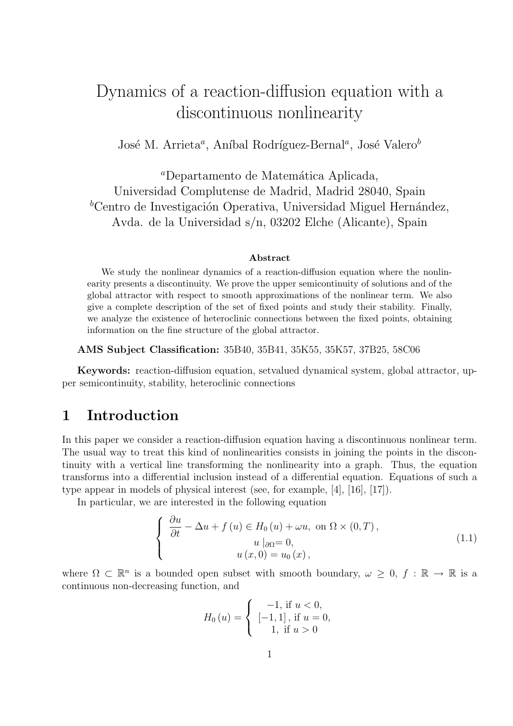# Dynamics of a reaction-diffusion equation with a discontinuous nonlinearity

José M. Arrieta<sup>a</sup>, Aníbal Rodríguez-Bernal<sup>a</sup>, José Valero<sup>b</sup>

<sup>a</sup>Departamento de Matemática Aplicada, Universidad Complutense de Madrid, Madrid 28040, Spain <sup>b</sup>Centro de Investigación Operativa, Universidad Miguel Hernández, Avda. de la Universidad s/n, 03202 Elche (Alicante), Spain

#### Abstract

We study the nonlinear dynamics of a reaction-diffusion equation where the nonlinearity presents a discontinuity. We prove the upper semicontinuity of solutions and of the global attractor with respect to smooth approximations of the nonlinear term. We also give a complete description of the set of fixed points and study their stability. Finally, we analyze the existence of heteroclinic connections between the fixed points, obtaining information on the fine structure of the global attractor.

AMS Subject Classification: 35B40, 35B41, 35K55, 35K57, 37B25, 58C06

Keywords: reaction-diffusion equation, setvalued dynamical system, global attractor, upper semicontinuity, stability, heteroclinic connections

## 1 Introduction

In this paper we consider a reaction-diffusion equation having a discontinuous nonlinear term. The usual way to treat this kind of nonlinearities consists in joining the points in the discontinuity with a vertical line transforming the nonlinearity into a graph. Thus, the equation transforms into a differential inclusion instead of a differential equation. Equations of such a type appear in models of physical interest (see, for example, [4], [16], [17]).

In particular, we are interested in the following equation

$$
\begin{cases}\n\frac{\partial u}{\partial t} - \Delta u + f(u) \in H_0(u) + \omega u, \text{ on } \Omega \times (0, T), \\
u \mid_{\partial \Omega} = 0, \\
u(x, 0) = u_0(x),\n\end{cases}
$$
\n(1.1)

where  $\Omega \subset \mathbb{R}^n$  is a bounded open subset with smooth boundary,  $\omega \geq 0$ ,  $f : \mathbb{R} \to \mathbb{R}$  is a continuous non-decreasing function, and

$$
H_0(u) = \begin{cases} -1, & \text{if } u < 0, \\ [-1, 1], & \text{if } u = 0, \\ 1, & \text{if } u > 0 \end{cases}
$$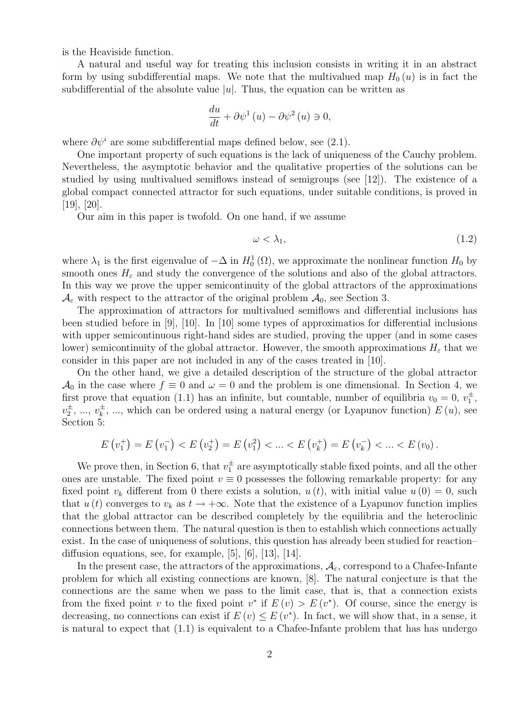is the Heaviside function.

A natural and useful way for treating this inclusion consists in writing it in an abstract form by using subdifferential maps. We note that the multivalued map  $H_0(u)$  is in fact the subdifferential of the absolute value  $|u|$ . Thus, the equation can be written as

$$
\frac{du}{dt} + \partial \psi^1 \left( u \right) - \partial \psi^2 \left( u \right) \ni 0,
$$

where  $\partial \psi^i$  are some subdifferential maps defined below, see (2.1).

One important property of such equations is the lack of uniqueness of the Cauchy problem. Nevertheless, the asymptotic behavior and the qualitative properties of the solutions can be studied by using multivalued semiflows instead of semigroups (see [12]). The existence of a global compact connected attractor for such equations, under suitable conditions, is proved in [19], [20].

Our aim in this paper is twofold. On one hand, if we assume

$$
\omega < \lambda_1,\tag{1.2}
$$

where  $\lambda_1$  is the first eigenvalue of  $-\Delta$  in  $H_0^1(\Omega)$ , we approximate the nonlinear function  $H_0$  by smooth ones  $H_{\varepsilon}$  and study the convergence of the solutions and also of the global attractors. In this way we prove the upper semicontinuity of the global attractors of the approximations  $\mathcal{A}_{\varepsilon}$  with respect to the attractor of the original problem  $\mathcal{A}_0$ , see Section 3.

The approximation of attractors for multivalued semiflows and differential inclusions has been studied before in [9], [10]. In [10] some types of approximatios for differential inclusions with upper semicontinuous right-hand sides are studied, proving the upper (and in some cases lower) semicontinuity of the global attractor. However, the smooth approximations  $H_{\varepsilon}$  that we consider in this paper are not included in any of the cases treated in [10].

On the other hand, we give a detailed description of the structure of the global attractor  $\mathcal{A}_0$  in the case where  $f \equiv 0$  and  $\omega = 0$  and the problem is one dimensional. In Section 4, we first prove that equation (1.1) has an infinite, but countable, number of equilibria  $v_0 = 0, v_1^{\pm}$ ,  $v_2^{\pm}, \dots, v_k^{\pm}$  $\frac{1}{k}$ , ..., which can be ordered using a natural energy (or Lyapunov function)  $E(u)$ , see Section 5:

$$
E(v_1^+) = E(v_1^-) < E(v_2^+) = E(v_1^2) < \ldots < E(v_k^+) = E(v_k^-) < \ldots < E(v_0).
$$

We prove then, in Section 6, that  $v_1^{\pm}$  are asymptotically stable fixed points, and all the other ones are unstable. The fixed point  $v \equiv 0$  possesses the following remarkable property: for any fixed point  $v_k$  different from 0 there exists a solution,  $u(t)$ , with initial value  $u(0) = 0$ , such that  $u(t)$  converges to  $v_k$  as  $t \to +\infty$ . Note that the existence of a Lyapunov function implies that the global attractor can be described completely by the equilibria and the heteroclinic connections between them. The natural question is then to establish which connections actually exist. In the case of uniqueness of solutions, this question has already been studied for reaction– diffusion equations, see, for example, [5], [6], [13], [14].

In the present case, the attractors of the approximations,  $A_{\varepsilon}$ , correspond to a Chafee-Infante problem for which all existing connections are known, [8]. The natural conjecture is that the connections are the same when we pass to the limit case, that is, that a connection exists from the fixed point v to the fixed point  $v^*$  if  $E(v) > E(v^*)$ . Of course, since the energy is decreasing, no connections can exist if  $E(v) \leq E(v^*)$ . In fact, we will show that, in a sense, it is natural to expect that (1.1) is equivalent to a Chafee-Infante problem that has has undergo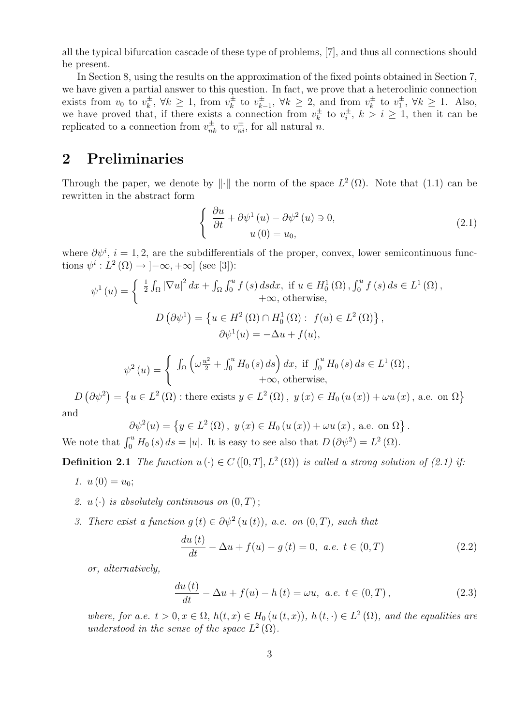all the typical bifurcation cascade of these type of problems, [7], and thus all connections should be present.

In Section 8, using the results on the approximation of the fixed points obtained in Section 7, we have given a partial answer to this question. In fact, we prove that a heteroclinic connection exists from  $v_0$  to  $v_k^{\pm}$  $\frac{1}{k}$ ,  $\forall k \geq 1$ , from  $v_k^{\pm}$  $v_k^{\pm}$  to  $v_k^{\pm}$  $\frac{1}{k-1}$ , ∀ $k \geq 2$ , and from  $v_k^{\pm}$  $v_k^{\pm}$  to  $v_1^{\pm}$ ,  $\forall k \geq 1$ . Also, we have proved that, if there exists a connection from  $v_k^{\pm}$  $v_i^{\pm}$  to  $v_i^{\pm}$  $i_i^{\pm}$ ,  $k > i \geq 1$ , then it can be replicated to a connection from  $v_{nk}^{\pm}$  to  $v_{ni}^{\pm}$ , for all natural *n*.

# 2 Preliminaries

Through the paper, we denote by  $\|\cdot\|$  the norm of the space  $L^2(\Omega)$ . Note that (1.1) can be rewritten in the abstract form

$$
\begin{cases} \frac{\partial u}{\partial t} + \partial \psi^1 \left( u \right) - \partial \psi^2 \left( u \right) \ni 0, \\ u \left( 0 \right) = u_0, \end{cases}
$$
 (2.1)

where  $\partial \psi^i$ ,  $i = 1, 2$ , are the subdifferentials of the proper, convex, lower semicontinuous functions  $\psi^i: L^2(\Omega) \to ]-\infty, +\infty]$  (see [3]):

$$
\psi^1(u) = \begin{cases} \frac{1}{2} \int_{\Omega} |\nabla u|^2 dx + \int_{\Omega} \int_0^u f(s) ds dx, & \text{if } u \in H_0^1(\Omega), \int_0^u f(s) ds \in L^1(\Omega), \\ +\infty, & \text{otherwise,} \end{cases}
$$

$$
D(\partial \psi^1) = \left\{ u \in H^2(\Omega) \cap H_0^1(\Omega) : f(u) \in L^2(\Omega) \right\},
$$

$$
\partial \psi^1(u) = -\Delta u + f(u),
$$

$$
\psi^{2}(u) = \begin{cases} \int_{\Omega} \left( \omega \frac{u^{2}}{2} + \int_{0}^{u} H_{0}(s) ds \right) dx, & \text{if } \int_{0}^{u} H_{0}(s) ds \in L^{1}(\Omega), \\ +\infty, & \text{otherwise,} \end{cases}
$$

 $D(\partial \psi^2) = \{u \in L^2(\Omega) : \text{there exists } y \in L^2(\Omega), y(x) \in H_0(u(x)) + \omega u(x), \text{ a.e. on } \Omega\}$ and

$$
\partial \psi^{2}(u) = \left\{ y \in L^{2}(\Omega), y(x) \in H_{0}(u(x)) + \omega u(x), \text{ a.e. on } \Omega \right\}.
$$

We note that  $\int_0^u H_0(s) ds = |u|$ . It is easy to see also that  $D(\partial \psi^2) = L^2(\Omega)$ .

**Definition 2.1** The function  $u(\cdot) \in C([0,T], L^2(\Omega))$  is called a strong solution of (2.1) if.

- 1.  $u(0) = u_0$ ;
- 2.  $u(\cdot)$  is absolutely continuous on  $(0, T)$ ;
- 3. There exist a function  $g(t) \in \partial \psi^2(u(t))$ , a.e. on  $(0,T)$ , such that

$$
\frac{du(t)}{dt} - \Delta u + f(u) - g(t) = 0, \ a.e. \ t \in (0, T)
$$
\n(2.2)

or, alternatively,

$$
\frac{du(t)}{dt} - \Delta u + f(u) - h(t) = \omega u, \ a.e. \ t \in (0, T), \tag{2.3}
$$

where, for a.e.  $t > 0, x \in \Omega$ ,  $h(t, x) \in H_0(u(t, x))$ ,  $h(t, \cdot) \in L^2(\Omega)$ , and the equalities are understood in the sense of the space  $L^2(\Omega)$ .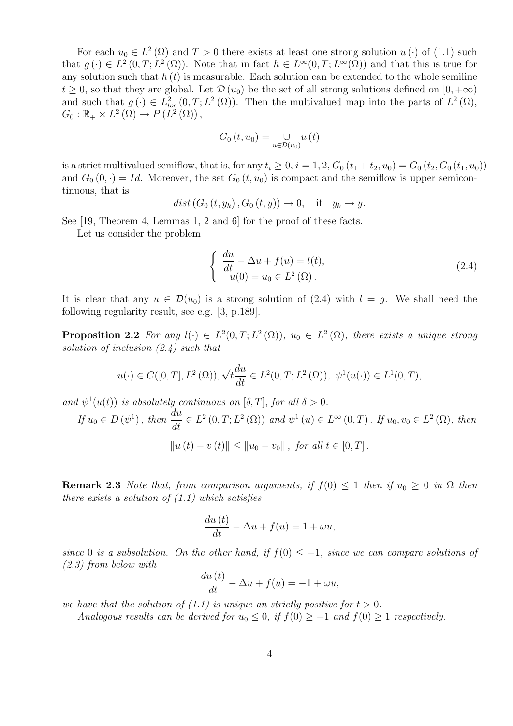For each  $u_0 \in L^2(\Omega)$  and  $T > 0$  there exists at least one strong solution  $u(\cdot)$  of (1.1) such that  $g(\cdot) \in L^2(0,T;L^2(\Omega))$ . Note that in fact  $h \in L^{\infty}(0,T;L^{\infty}(\Omega))$  and that this is true for any solution such that  $h(t)$  is measurable. Each solution can be extended to the whole semiline  $t \geq 0$ , so that they are global. Let  $\mathcal{D}(u_0)$  be the set of all strong solutions defined on  $[0, +\infty)$ and such that  $g(\cdot) \in L^2_{loc}(0,T; L^2(\Omega))$ . Then the multivalued map into the parts of  $L^2(\Omega)$ ,  $G_0: \mathbb{R}_+ \times L^2(\Omega) \to P(L^2(\Omega)),$ 

$$
G_{0}\left( t,u_{0}\right) =\underset{u\in\mathcal{D}\left( u_{0}\right) }{\cup}u\left( t\right)
$$

is a strict multivalued semiflow, that is, for any  $t_i \geq 0$ ,  $i = 1, 2$ ,  $G_0(t_1 + t_2, u_0) = G_0(t_2, G_0(t_1, u_0))$ and  $G_0(0, \cdot) = Id$ . Moreover, the set  $G_0(t, u_0)$  is compact and the semiflow is upper semicontinuous, that is

$$
dist(G_0(t, y_k), G_0(t, y)) \to 0, \quad \text{if} \quad y_k \to y.
$$

See [19, Theorem 4, Lemmas 1, 2 and 6] for the proof of these facts.

Let us consider the problem

$$
\begin{cases}\n\frac{du}{dt} - \Delta u + f(u) = l(t), \\
u(0) = u_0 \in L^2(\Omega).\n\end{cases}
$$
\n(2.4)

It is clear that any  $u \in \mathcal{D}(u_0)$  is a strong solution of (2.4) with  $l = q$ . We shall need the following regularity result, see e.g. [3, p.189].

**Proposition 2.2** For any  $l(\cdot) \in L^2(0,T; L^2(\Omega))$ ,  $u_0 \in L^2(\Omega)$ , there exists a unique strong solution of inclusion  $(2.4)$  such that

$$
u(\cdot) \in C([0,T], L^2(\Omega)), \sqrt{t}\frac{du}{dt} \in L^2(0,T; L^2(\Omega)), \ \psi^1(u(\cdot)) \in L^1(0,T),
$$

and  $\psi^1(u(t))$  is absolutely continuous on  $[\delta, T]$ , for all  $\delta > 0$ .

$$
If \, u_0 \in D\left(\psi^1\right), \, then \, \frac{du}{dt} \in L^2\left(0, T; L^2\left(\Omega\right)\right) \, and \, \psi^1\left(u\right) \in L^\infty\left(0, T\right). \, If \, u_0, v_0 \in L^2\left(\Omega\right), \, then
$$
\n
$$
\|u\left(t\right) - v\left(t\right)\| \le \|u_0 - v_0\|, \, for \, all \, t \in [0, T].
$$

**Remark 2.3** Note that, from comparison arguments, if  $f(0) < 1$  then if  $u_0 > 0$  in  $\Omega$  then there exists a solution of  $(1.1)$  which satisfies

$$
\frac{du(t)}{dt} - \Delta u + f(u) = 1 + \omega u,
$$

since 0 is a subsolution. On the other hand, if  $f(0) \leq -1$ , since we can compare solutions of (2.3) from below with  $\mathbf{a}$ 

$$
\frac{du(t)}{dt} - \Delta u + f(u) = -1 + \omega u,
$$

we have that the solution of  $(1.1)$  is unique an strictly positive for  $t > 0$ .

Analogous results can be derived for  $u_0 \leq 0$ , if  $f(0) \geq -1$  and  $f(0) \geq 1$  respectively.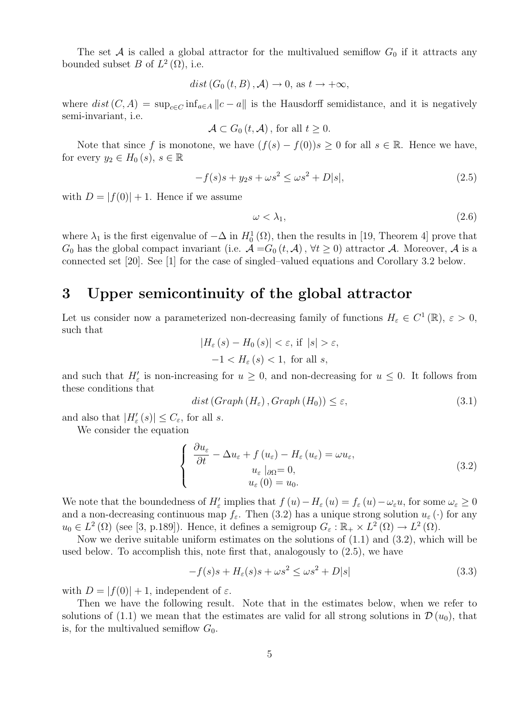The set A is called a global attractor for the multivalued semiflow  $G_0$  if it attracts any bounded subset B of  $L^2(\Omega)$ , i.e.

$$
dist(G_0(t, B), \mathcal{A}) \to 0
$$
, as  $t \to +\infty$ ,

where  $dist(C, A) = \sup_{c \in C} \inf_{a \in A} ||c - a||$  is the Hausdorff semidistance, and it is negatively semi-invariant, i.e.

$$
\mathcal{A} \subset G_0(t, \mathcal{A}), \text{ for all } t \ge 0.
$$

Note that since f is monotone, we have  $(f(s) - f(0))s \geq 0$  for all  $s \in \mathbb{R}$ . Hence we have, for every  $y_2 \in H_0(s)$ ,  $s \in \mathbb{R}$ 

$$
-f(s)s + y_2s + \omega s^2 \le \omega s^2 + D|s|,
$$
\n(2.5)

with  $D = |f(0)| + 1$ . Hence if we assume

$$
\omega < \lambda_1,\tag{2.6}
$$

where  $\lambda_1$  is the first eigenvalue of  $-\Delta$  in  $H_0^1(\Omega)$ , then the results in [19, Theorem 4] prove that  $G_0$  has the global compact invariant (i.e.  $\mathcal{A} = G_0(t, \mathcal{A}), \forall t \geq 0$ ) attractor  $\mathcal{A}$ . Moreover,  $\mathcal{A}$  is a connected set [20]. See [1] for the case of singled–valued equations and Corollary 3.2 below.

# 3 Upper semicontinuity of the global attractor

Let us consider now a parameterized non-decreasing family of functions  $H_{\varepsilon} \in C^{1}(\mathbb{R}), \varepsilon > 0$ , such that

$$
|H_{\varepsilon}(s) - H_0(s)| < \varepsilon, \text{ if } |s| > \varepsilon, \\
-1 < H_{\varepsilon}(s) < 1, \text{ for all } s,
$$

and such that  $H'_{\varepsilon}$  is non-increasing for  $u \geq 0$ , and non-decreasing for  $u \leq 0$ . It follows from these conditions that

$$
dist(Graph(H_{\varepsilon}),Graph(H_{0})) \le \varepsilon, \tag{3.1}
$$

and also that  $|H'_{\varepsilon}(s)| \leq C_{\varepsilon}$ , for all s.

We consider the equation

$$
\begin{cases}\n\frac{\partial u_{\varepsilon}}{\partial t} - \Delta u_{\varepsilon} + f(u_{\varepsilon}) - H_{\varepsilon}(u_{\varepsilon}) = \omega u_{\varepsilon}, \\
u_{\varepsilon} |_{\partial \Omega} = 0, \\
u_{\varepsilon}(0) = u_{0}.\n\end{cases}
$$
\n(3.2)

We note that the boundedness of  $H'_\varepsilon$  implies that  $f(u) - H_\varepsilon(u) = f_\varepsilon(u) - \omega_\varepsilon u$ , for some  $\omega_\varepsilon \geq 0$ and a non-decreasing continuous map  $f_{\varepsilon}$ . Then (3.2) has a unique strong solution  $u_{\varepsilon}(\cdot)$  for any  $u_0 \in L^2(\Omega)$  (see [3, p.189]). Hence, it defines a semigroup  $G_{\varepsilon}: \mathbb{R}_+ \times L^2(\Omega) \to L^2(\Omega)$ .

Now we derive suitable uniform estimates on the solutions of  $(1.1)$  and  $(3.2)$ , which will be used below. To accomplish this, note first that, analogously to (2.5), we have

$$
-f(s)s + H_{\varepsilon}(s)s + \omega s^2 \le \omega s^2 + D|s| \tag{3.3}
$$

with  $D = |f(0)| + 1$ , independent of  $\varepsilon$ .

Then we have the following result. Note that in the estimates below, when we refer to solutions of (1.1) we mean that the estimates are valid for all strong solutions in  $\mathcal{D}(u_0)$ , that is, for the multivalued semiflow  $G_0$ .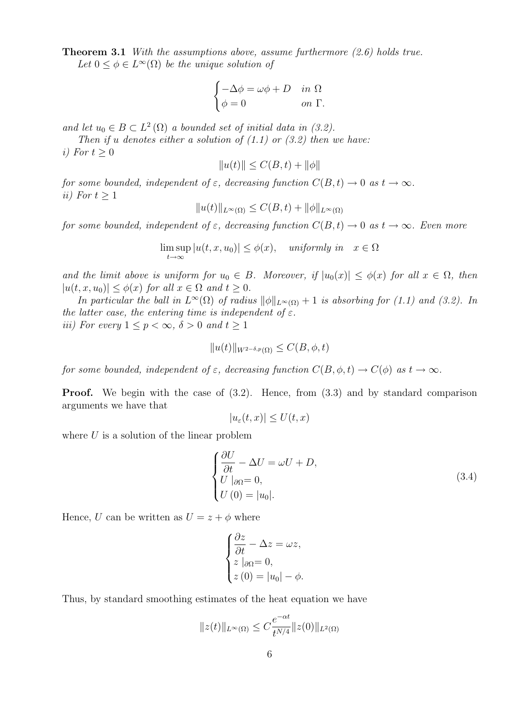Theorem 3.1 With the assumptions above, assume furthermore  $(2.6)$  holds true. Let  $0 \leq \phi \in L^{\infty}(\Omega)$  be the unique solution of

$$
\begin{cases}\n-\Delta \phi = \omega \phi + D & \text{in } \Omega \\
\phi = 0 & \text{on } \Gamma.\n\end{cases}
$$

and let  $u_0 \in B \subset L^2(\Omega)$  a bounded set of initial data in (3.2).

Then if u denotes either a solution of  $(1.1)$  or  $(3.2)$  then we have: i) For  $t \geq 0$ 

$$
||u(t)|| \le C(B, t) + ||\phi||
$$

for some bounded, independent of  $\varepsilon$ , decreasing function  $C(B, t) \to 0$  as  $t \to \infty$ . ii) For  $t \geq 1$ 

$$
||u(t)||_{L^{\infty}(\Omega)} \leq C(B, t) + ||\phi||_{L^{\infty}(\Omega)}
$$

for some bounded, independent of  $\varepsilon$ , decreasing function  $C(B, t) \to 0$  as  $t \to \infty$ . Even more

$$
\limsup_{t \to \infty} |u(t, x, u_0)| \le \phi(x), \quad \text{uniformly in} \quad x \in \Omega
$$

and the limit above is uniform for  $u_0 \in B$ . Moreover, if  $|u_0(x)| \leq \phi(x)$  for all  $x \in \Omega$ , then  $|u(t, x, u_0)| \leq \phi(x)$  for all  $x \in \Omega$  and  $t > 0$ .

In particular the ball in  $L^{\infty}(\Omega)$  of radius  $\|\phi\|_{L^{\infty}(\Omega)} + 1$  is absorbing for (1.1) and (3.2). In the latter case, the entering time is independent of  $\varepsilon$ . iii) For every  $1 \leq p \leq \infty$ ,  $\delta > 0$  and  $t \geq 1$ 

$$
||u(t)||_{W^{2-\delta,p}(\Omega)} \leq C(B,\phi,t)
$$

for some bounded, independent of  $\varepsilon$ , decreasing function  $C(B, \phi, t) \to C(\phi)$  as  $t \to \infty$ .

**Proof.** We begin with the case of  $(3.2)$ . Hence, from  $(3.3)$  and by standard comparison arguments we have that

$$
|u_{\varepsilon}(t,x)| \le U(t,x)
$$

where  $U$  is a solution of the linear problem

$$
\begin{cases}\n\frac{\partial U}{\partial t} - \Delta U = \omega U + D, \\
U|_{\partial \Omega} = 0, \\
U(0) = |u_0|. \n\end{cases}
$$
\n(3.4)

Hence, U can be written as  $U = z + \phi$  where

$$
\begin{cases}\n\frac{\partial z}{\partial t} - \Delta z = \omega z, \\
z \mid_{\partial \Omega} = 0, \\
z (0) = |u_0| - \phi.\n\end{cases}
$$

Thus, by standard smoothing estimates of the heat equation we have

$$
||z(t)||_{L^{\infty}(\Omega)} \leq C \frac{e^{-\alpha t}}{t^{N/4}} ||z(0)||_{L^{2}(\Omega)}
$$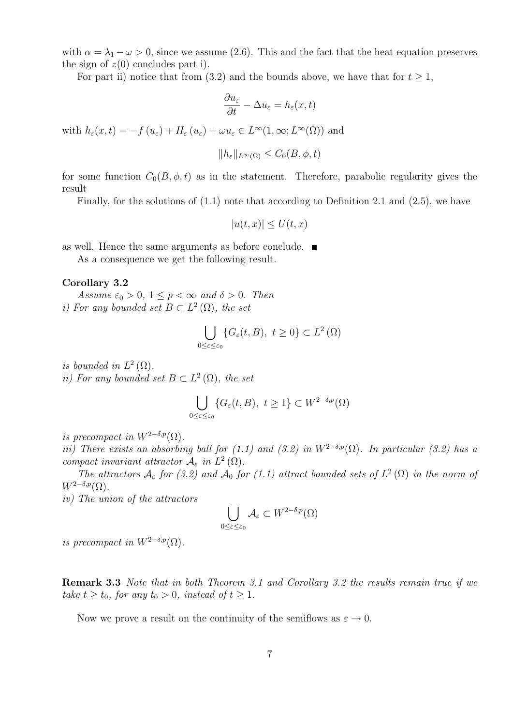with  $\alpha = \lambda_1 - \omega > 0$ , since we assume (2.6). This and the fact that the heat equation preserves the sign of  $z(0)$  concludes part i).

For part ii) notice that from (3.2) and the bounds above, we have that for  $t \geq 1$ ,

$$
\frac{\partial u_{\varepsilon}}{\partial t} - \Delta u_{\varepsilon} = h_{\varepsilon}(x, t)
$$

with  $h_{\varepsilon}(x,t) = -f(u_{\varepsilon}) + H_{\varepsilon}(u_{\varepsilon}) + \omega u_{\varepsilon} \in L^{\infty}(1,\infty; L^{\infty}(\Omega))$  and

$$
||h_{\varepsilon}||_{L^{\infty}(\Omega)} \leq C_0(B, \phi, t)
$$

for some function  $C_0(B, \phi, t)$  as in the statement. Therefore, parabolic regularity gives the result

Finally, for the solutions of  $(1.1)$  note that according to Definition 2.1 and  $(2.5)$ , we have

$$
|u(t,x)| \le U(t,x)
$$

as well. Hence the same arguments as before conclude.

As a consequence we get the following result.

#### Corollary 3.2

Assume  $\varepsilon_0 > 0$ ,  $1 \le p < \infty$  and  $\delta > 0$ . Then i) For any bounded set  $B \subset L^2(\Omega)$ , the set

$$
\bigcup_{0\leq\varepsilon\leq\varepsilon_0} \{G_{\varepsilon}(t,B),\ t\geq 0\} \subset L^2(\Omega)
$$

is bounded in  $L^2(\Omega)$ .

ii) For any bounded set  $B \subset L^2(\Omega)$ , the set

$$
\bigcup_{0\leq\varepsilon\leq\varepsilon_0} \{G_{\varepsilon}(t,B),\ t\geq 1\} \subset W^{2-\delta,p}(\Omega)
$$

is precompact in  $W^{2-\delta,p}(\Omega)$ .

iii) There exists an absorbing ball for (1.1) and (3.2) in  $W^{2-\delta,p}(\Omega)$ . In particular (3.2) has a compact invariant attractor  $\mathcal{A}_{\varepsilon}$  in  $L^2(\Omega)$ .

The attractors  $A_{\varepsilon}$  for (3.2) and  $A_0$  for (1.1) attract bounded sets of  $L^2(\Omega)$  in the norm of  $W^{2-\delta,p}(\Omega)$ .

iv) The union of the attractors

$$
\bigcup_{0\leq\varepsilon\leq\varepsilon_0}\mathcal{A}_{\varepsilon}\subset W^{2-\delta,p}(\Omega)
$$

is precompact in  $W^{2-\delta,p}(\Omega)$ .

Remark 3.3 Note that in both Theorem 3.1 and Corollary 3.2 the results remain true if we take  $t \ge t_0$ , for any  $t_0 > 0$ , instead of  $t \ge 1$ .

Now we prove a result on the continuity of the semiflows as  $\varepsilon \to 0$ .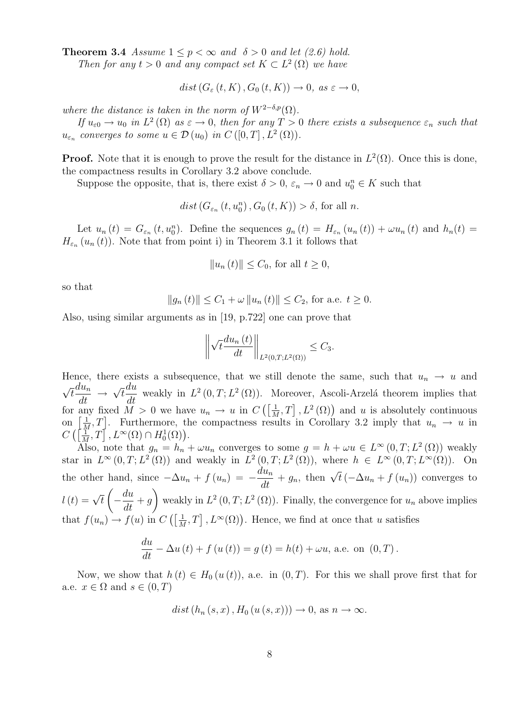**Theorem 3.4** Assume  $1 \leq p < \infty$  and  $\delta > 0$  and let (2.6) hold.

Then for any  $t > 0$  and any compact set  $K \subset L^2(\Omega)$  we have

$$
dist(G_{\varepsilon}(t,K),G_0(t,K))\to 0, \text{ as } \varepsilon \to 0,
$$

where the distance is taken in the norm of  $W^{2-\delta,p}(\Omega)$ .

If  $u_{\varepsilon 0} \to u_0$  in  $L^2(\Omega)$  as  $\varepsilon \to 0$ , then for any  $T > 0$  there exists a subsequence  $\varepsilon_n$  such that  $u_{\varepsilon_n}$  converges to some  $u \in \mathcal{D}(u_0)$  in  $C([0,T], L^2(\Omega)).$ 

**Proof.** Note that it is enough to prove the result for the distance in  $L^2(\Omega)$ . Once this is done, the compactness results in Corollary 3.2 above conclude.

Suppose the opposite, that is, there exist  $\delta > 0$ ,  $\varepsilon_n \to 0$  and  $u_0^n \in K$  such that

 $dist(G_{\varepsilon_n}(t, u_0^n), G_0(t, K)) > \delta$ , for all *n*.

Let  $u_n(t) = G_{\varepsilon_n}(t, u_0^n)$ . Define the sequences  $g_n(t) = H_{\varepsilon_n}(u_n(t)) + \omega u_n(t)$  and  $h_n(t) =$  $H_{\varepsilon_n}(u_n(t))$ . Note that from point i) in Theorem 3.1 it follows that

$$
||u_n(t)|| \le C_0, \text{ for all } t \ge 0,
$$

so that

$$
||g_n(t)|| \le C_1 + \omega ||u_n(t)|| \le C_2
$$
, for a.e.  $t \ge 0$ .

Also, using similar arguments as in [19, p.722] one can prove that

$$
\left\|\sqrt{t}\frac{du_n\left(t\right)}{dt}\right\|_{L^2(0,T;L^2(\Omega))} \leq C_3.
$$

Hence, there exists a subsequence, that we still denote the same, such that  $u_n \to u$  and √  $\overline{t} \frac{du_n}{dt} \rightarrow$ √ t du  $\frac{du}{dt}$  weakly in  $L^2(0,T;L^2(\Omega))$ . Moreover, Ascoli-Arzelá theorem implies that for any fixed  $\tilde{M} > 0$  we have  $u_n \to u$  in  $C\left(\frac{1}{\tilde{N}}\right)$  $\frac{1}{M}, T]$ ,  $L^2(\Omega)$  and u is absolutely continuous on  $\left[\frac{1}{\lambda}\right]$  $\frac{1}{M}, T$ . Furthermore, the compactness results in Corollary 3.2 imply that  $u_n \to u$  in  $C\left(\left\lceil \frac{1}{\lambda}\right\rceil\right)$  $\left[\frac{1}{M},T\right], L^{\infty}(\Omega) \cap H_0^1(\Omega)$ .

Also, note that  $g_n = h_n + \omega u_n$  converges to some  $g = h + \omega u \in L^{\infty}(0,T; L^2(\Omega))$  weakly star in  $L^{\infty}(0,T;L^2(\Omega))$  and weakly in  $L^2(0,T;L^2(\Omega))$ , where  $h \in L^{\infty}(0,T;L^{\infty}(\Omega))$ . On the other hand, since  $-\Delta u_n + f(u_n) = -\frac{du_n}{dt} + g_n$ , then  $\sqrt{t}(-\Delta u_n + f(u_n))$  converges to  $l(t) = \sqrt{t}$  $\sqrt{ }$  $-\frac{du}{u}$  $\frac{d}{dt} + g$  $\setminus$ weakly in  $L^2(0,T; L^2(\Omega))$ . Finally, the convergence for  $u_n$  above implies that  $f(u_n) \to f(u)$  in  $C\left(\frac{1}{h}\right)$  $\frac{1}{M}, T]$ ,  $L^{\infty}(\Omega)$ ). Hence, we find at once that u satisfies

$$
\frac{du}{dt} - \Delta u(t) + f(u(t)) = g(t) = h(t) + \omega u, \text{ a.e. on } (0, T).
$$

Now, we show that  $h(t) \in H_0(u(t))$ , a.e. in  $(0,T)$ . For this we shall prove first that for a.e.  $x \in \Omega$  and  $s \in (0, T)$ 

 $dist(h_n(s, x), H_0(u(s, x))) \to 0$ , as  $n \to \infty$ .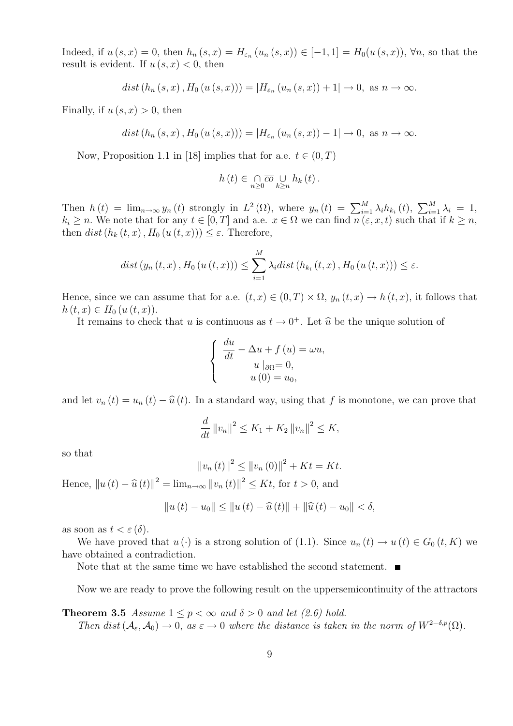Indeed, if  $u(s, x) = 0$ , then  $h_n(s, x) = H_{\varepsilon_n}(u_n(s, x)) \in [-1, 1] = H_0(u(s, x))$ ,  $\forall n$ , so that the result is evident. If  $u(s, x) < 0$ , then

$$
dist(h_n(s, x), H_0(u(s, x))) = |H_{\varepsilon_n}(u_n(s, x)) + 1| \to 0, \text{ as } n \to \infty.
$$

Finally, if  $u(s, x) > 0$ , then

$$
dist(h_n(s, x), H_0(u(s, x))) = |H_{\varepsilon_n}(u_n(s, x)) - 1| \to 0, \text{ as } n \to \infty.
$$

Now, Proposition 1.1 in [18] implies that for a.e.  $t \in (0, T)$ 

$$
h(t) \in \bigcap_{n \geq 0} \overline{co} \bigcup_{k \geq n} h_k(t).
$$

Then  $h(t) = \lim_{n \to \infty} y_n(t)$  strongly in  $L^2(\Omega)$ , where  $y_n(t) = \sum_{i=1}^M \lambda_i h_{k_i}(t)$ ,  $\sum_{i=1}^M \lambda_i = 1$ ,  $k_i \geq n$ . We note that for any  $t \in [0, T]$  and a.e.  $x \in \Omega$  we can find  $n(\varepsilon, x, t)$  such that if  $k \geq n$ , then dist( $h_k(t, x)$ ,  $H_0(u(t, x)) \leq \varepsilon$ . Therefore,

$$
dist (y_n(t, x), H_0(u(t, x))) \leq \sum_{i=1}^{M} \lambda_i dist (h_{k_i}(t, x), H_0(u(t, x))) \leq \varepsilon.
$$

Hence, since we can assume that for a.e.  $(t, x) \in (0, T) \times \Omega$ ,  $y_n(t, x) \to h(t, x)$ , it follows that  $h(t, x) \in H_0(u(t, x)).$ 

It remains to check that u is continuous as  $t \to 0^+$ . Let  $\hat{u}$  be the unique solution of

$$
\begin{cases}\n\frac{du}{dt} - \Delta u + f(u) = \omega u, \\
u \mid_{\partial \Omega} = 0, \\
u(0) = u_0,\n\end{cases}
$$

and let  $v_n(t) = u_n(t) - \hat{u}(t)$ . In a standard way, using that f is monotone, we can prove that

$$
\frac{d}{dt} ||v_n||^2 \le K_1 + K_2 ||v_n||^2 \le K,
$$

so that

$$
||v_n(t)||^2 \le ||v_n(0)||^2 + Kt = Kt.
$$

Hence,  $||u(t) - \hat{u}(t)||^2 = \lim_{n \to \infty} ||v_n(t)||^2 \le Kt$ , for  $t > 0$ , and

$$
||u(t) – u0|| \le ||u(t) – \hat{u}(t)|| + ||\hat{u}(t) – u0|| < \delta,
$$

as soon as  $t < \varepsilon(\delta)$ .

We have proved that  $u(\cdot)$  is a strong solution of (1.1). Since  $u_n(t) \to u(t) \in G_0(t, K)$  we have obtained a contradiction.

Note that at the same time we have established the second statement.  $\blacksquare$ 

Now we are ready to prove the following result on the uppersemicontinuity of the attractors

**Theorem 3.5** Assume  $1 \leq p < \infty$  and  $\delta > 0$  and let (2.6) hold. Then dist( $\mathcal{A}_{\varepsilon}, \mathcal{A}_0$ ) → 0, as  $\varepsilon \to 0$  where the distance is taken in the norm of  $W^{2-\delta,p}(\Omega)$ .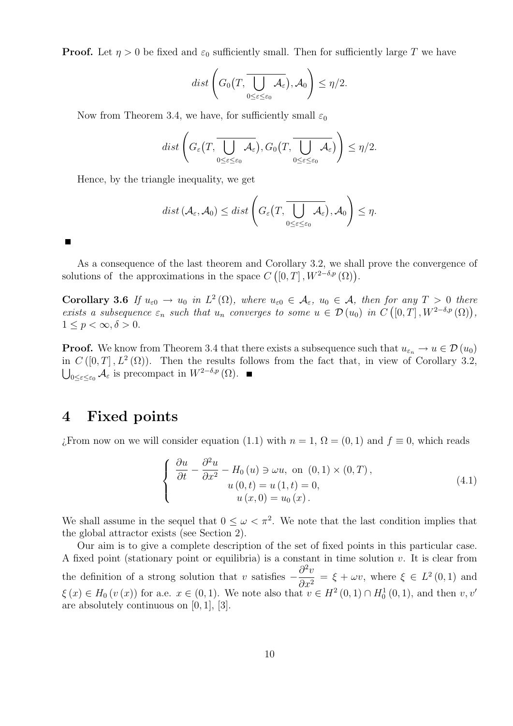**Proof.** Let  $\eta > 0$  be fixed and  $\varepsilon_0$  sufficiently small. Then for sufficiently large T we have

$$
dist\left(G_0\left(T,\overline{\bigcup_{0\leq\varepsilon\leq\varepsilon_0}\mathcal{A}_{\varepsilon}}\right),\mathcal{A}_0\right)\leq\eta/2.
$$

Now from Theorem 3.4, we have, for sufficiently small  $\varepsilon_0$ 

$$
dist\left(G_{\varepsilon}\left(T,\overline{\bigcup_{0\leq\varepsilon\leq\varepsilon_{0}}\mathcal{A}_{\varepsilon}}\right),G_{0}\left(T,\overline{\bigcup_{0\leq\varepsilon\leq\varepsilon_{0}}\mathcal{A}_{\varepsilon}}\right)\right)\leq\eta/2.
$$

Hence, by the triangle inequality, we get

$$
dist\left(\mathcal{A}_{\varepsilon},\mathcal{A}_{0}\right)\leq dist\left(G_{\varepsilon}\left(T,\overline{\bigcup_{0\leq\varepsilon\leq\varepsilon_{0}}\mathcal{A}_{\varepsilon}}\right),\mathcal{A}_{0}\right)\leq\eta.
$$

Г

As a consequence of the last theorem and Corollary 3.2, we shall prove the convergence of solutions of the approximations in the space  $C([0,T], W^{2-\delta,p}(\Omega)).$ 

**Corollary 3.6** If  $u_{\varepsilon 0} \to u_0$  in  $L^2(\Omega)$ , where  $u_{\varepsilon 0} \in A_{\varepsilon}$ ,  $u_0 \in A$ , then for any  $T > 0$  there exists a subsequence  $\varepsilon_n$  such that  $u_n$  converges to some  $u \in \mathcal{D}(u_0)$  in  $C([0,T], W^{2-\delta,p}(\Omega)),$  $1 \leq p < \infty, \delta > 0.$ 

**Proof.** We know from Theorem 3.4 that there exists a subsequence such that  $u_{\varepsilon_n} \to u \in \mathcal{D}(u_0)$ in  $C([0,T], L^2(\Omega))$ . Then the results follows from the fact that, in view of Corollary 3.2,  $\bigcup_{0\leq\varepsilon\leq\varepsilon_0}\mathcal{A}_{\varepsilon}$  is precompact in  $W^{2-\delta,p}(\Omega)$ .

### 4 Fixed points

¿From now on we will consider equation (1.1) with  $n = 1$ ,  $\Omega = (0, 1)$  and  $f \equiv 0$ , which reads

$$
\begin{cases}\n\frac{\partial u}{\partial t} - \frac{\partial^2 u}{\partial x^2} - H_0(u) \ni \omega u, \text{ on } (0,1) \times (0,T), \\
u(0,t) = u(1,t) = 0, \\
u(x,0) = u_0(x).\n\end{cases}
$$
\n(4.1)

We shall assume in the sequel that  $0 \leq \omega < \pi^2$ . We note that the last condition implies that the global attractor exists (see Section 2).

Our aim is to give a complete description of the set of fixed points in this particular case. A fixed point (stationary point or equilibria) is a constant in time solution  $v$ . It is clear from the definition of a strong solution that v satisfies  $-\frac{\partial^2 v}{\partial x^2}$  $\partial x^2$  $=\xi + \omega v$ , where  $\xi \in L^2(0,1)$  and  $\xi(x) \in H_0(v(x))$  for a.e.  $x \in (0,1)$ . We note also that  $v \in H^2(0,1) \cap H_0^1(0,1)$ , and then  $v, v'$ are absolutely continuous on  $[0, 1]$ ,  $[3]$ .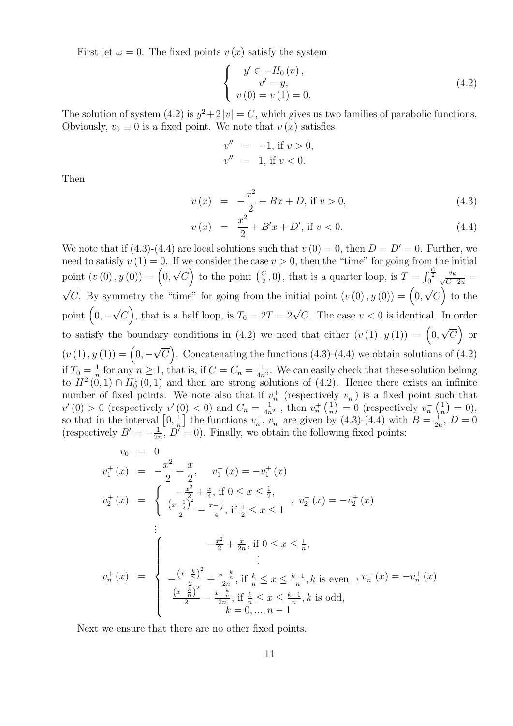First let  $\omega = 0$ . The fixed points  $v(x)$  satisfy the system

$$
\begin{cases}\ny' \in -H_0(v), \\
v' = y, \\
v(0) = v(1) = 0.\n\end{cases}
$$
\n(4.2)

The solution of system (4.2) is  $y^2 + 2|v| = C$ , which gives us two families of parabolic functions. Obviously,  $v_0 \equiv 0$  is a fixed point. We note that  $v(x)$  satisfies

$$
v'' = -1, \text{ if } v > 0, \n v'' = 1, \text{ if } v < 0.
$$

Then

$$
v(x) = -\frac{x^2}{2} + Bx + D, \text{ if } v > 0,
$$
\n(4.3)

$$
v(x) = \frac{x^2}{2} + B'x + D', \text{ if } v < 0. \tag{4.4}
$$

We note that if (4.3)-(4.4) are local solutions such that  $v(0) = 0$ , then  $D = D' = 0$ . Further, we need to satisfy  $v(1) = 0$ . If we consider the case  $v > 0$ , then the "time" for going from the initial point  $(v(0), y(0)) = (0,$ √  $\overline{C}$  to the point  $\left(\frac{C}{2}\right)$  $(\frac{C}{2}, 0)$ , that is a quarter loop, is  $T = \int_0^{\frac{C}{2}} \frac{du}{\sqrt{C-1}}$  $\frac{du}{C-2u} =$  $\sqrt{C}$ . By symmetry the "time" for going from the initial point  $(v(0), y(0)) = (0,$ √  $\overline{C}$  to the point  $(0, -$ √  $\overline{C}$ , that is a half loop, is  $T_0 = 2T = 2\sqrt{C}$ . The case  $v < 0$  is identical. In order to satisfy the boundary conditions in (4.2) we need that either  $(v(1), y(1)) = (0,$ √  $\overline{C}$  or  $(v(1), y(1)) = (0, -$ √  $\overline{C}$ . Concatenating the functions (4.3)-(4.4) we obtain solutions of (4.2) if  $T_0 = \frac{1}{n}$  $\frac{1}{n}$  for any  $n \geq 1$ , that is, if  $C = C_n = \frac{1}{4n}$  $\frac{1}{4n^2}$ . We can easily check that these solution belong to  $H^2(0,1) \cap H_0^1(0,1)$  and then are strong solutions of  $(4.2)$ . Hence there exists an infinite number of fixed points. We note also that if  $v_n^+$  (respectively  $v_n^-$ ) is a fixed point such that  $v'(0) > 0$  (respectively  $v'(0) < 0$ ) and  $C_n = \frac{1}{4n}$  $\frac{1}{4n^2}$ , then  $v_n^+$   $\left(\frac{1}{n}\right)$  $\left(\frac{1}{n}\right) = 0$  (respectively  $v_n^{-} \left(\frac{1}{n}\right)$  $(\frac{1}{n}) = 0,$ so that in the interval  $\left[0, \frac{1}{n}\right]$  $\frac{1}{n}$  the functions  $v_n^+, v_n^-$  are given by (4.3)-(4.4) with  $B = \frac{1}{2n}$  $\frac{1}{2n}, D = 0$ (respectively  $B' = -\frac{1}{2i}$  $\frac{1}{2n}$ ,  $D' = 0$ ). Finally, we obtain the following fixed points:

$$
v_0 \equiv 0
$$
  
\n
$$
v_1^+(x) = -\frac{x^2}{2} + \frac{x}{2}, \quad v_1^-(x) = -v_1^+(x)
$$
  
\n
$$
v_2^+(x) = \begin{cases} -\frac{x^2}{2} + \frac{x}{4}, \text{ if } 0 \le x \le \frac{1}{2}, \\ \frac{(x-\frac{1}{2})^2}{2} - \frac{x-\frac{1}{2}}{4}, \text{ if } \frac{1}{2} \le x \le 1 \end{cases}, v_2^-(x) = -v_2^+(x)
$$
  
\n
$$
\vdots
$$
  
\n
$$
v_n^+(x) = \begin{cases} -\frac{x^2}{2} + \frac{x}{2n}, \text{ if } 0 \le x \le \frac{1}{n}, \\ -\frac{(x-\frac{k}{n})^2}{2} + \frac{x-\frac{k}{n}}{2n}, \text{ if } \frac{k}{n} \le x \le \frac{k+1}{n}, k \text{ is even}, v_n^-(x) = -v_n^+(x) \\ \frac{(x-\frac{k}{n})^2}{2} - \frac{x-\frac{k}{n}}{2n}, \text{ if } \frac{k}{n} \le x \le \frac{k+1}{n}, k \text{ is odd}, \\ k = 0, ..., n-1 \end{cases}
$$

Next we ensure that there are no other fixed points.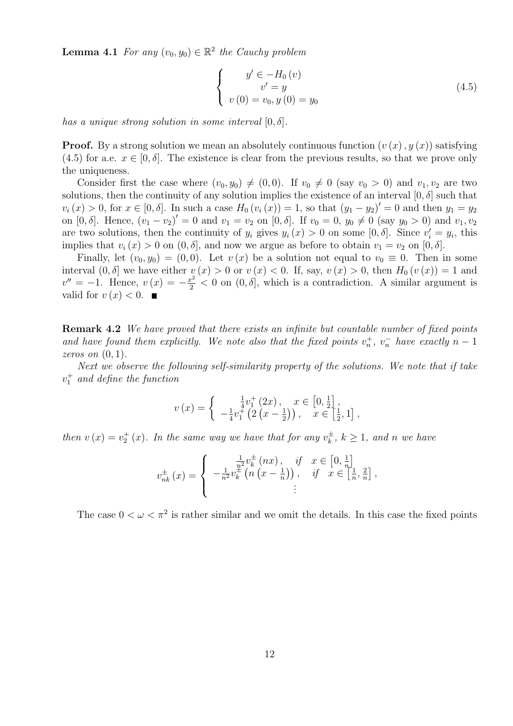**Lemma 4.1** For any  $(v_0, y_0) \in \mathbb{R}^2$  the Cauchy problem

$$
\begin{cases}\n y' \in -H_0(v) \\
 v' = y \\
 v(0) = v_0, y(0) = y_0\n\end{cases}
$$
\n(4.5)

has a unique strong solution in some interval  $[0, \delta]$ .

**Proof.** By a strong solution we mean an absolutely continuous function  $(v(x), y(x))$  satisfying (4.5) for a.e.  $x \in [0, \delta]$ . The existence is clear from the previous results, so that we prove only the uniqueness.

Consider first the case where  $(v_0, y_0) \neq (0, 0)$ . If  $v_0 \neq 0$  (say  $v_0 > 0$ ) and  $v_1, v_2$  are two solutions, then the continuity of any solution implies the existence of an interval  $[0, \delta]$  such that  $v_i(x) > 0$ , for  $x \in [0, \delta]$ . In such a case  $H_0(v_i(x)) = 1$ , so that  $(y_1 - y_2)' = 0$  and then  $y_1 = y_2$ on  $[0, \delta]$ . Hence,  $(v_1 - v_2)' = 0$  and  $v_1 = v_2$  on  $[0, \delta]$ . If  $v_0 = 0$ ,  $y_0 \neq 0$  (say  $y_0 > 0$ ) and  $v_1, v_2$ are two solutions, then the continuity of  $y_i$  gives  $y_i(x) > 0$  on some  $[0, \delta]$ . Since  $v'_i = y_i$ , this implies that  $v_i(x) > 0$  on  $(0, \delta]$ , and now we argue as before to obtain  $v_1 = v_2$  on  $[0, \delta]$ .

Finally, let  $(v_0, y_0) = (0, 0)$ . Let  $v(x)$  be a solution not equal to  $v_0 \equiv 0$ . Then in some interval  $(0, \delta]$  we have either  $v(x) > 0$  or  $v(x) < 0$ . If, say,  $v(x) > 0$ , then  $H_0(v(x)) = 1$  and  $v'' = -1$ . Hence,  $v(x) = -\frac{x^2}{2} < 0$  on  $(0, \delta]$ , which is a contradiction. A similar argument is valid for  $v(x) < 0$ .

Remark 4.2 We have proved that there exists an infinite but countable number of fixed points and have found them explicitly. We note also that the fixed points  $v_n^+$ ,  $v_n^-$  have exactly  $n-1$ zeros on  $(0, 1)$ .

Next we observe the following self-similarity property of the solutions. We note that if take  $v_1^+$  and define the function

$$
v(x) = \begin{cases} \frac{1}{4}v_1^+(2x), & x \in [0, \frac{1}{2}], \\ -\frac{1}{4}v_1^+(2(x-\frac{1}{2})), & x \in [\frac{1}{2}, 1], \end{cases}
$$

then  $v(x) = v_2^+(x)$ . In the same way we have that for any  $v_k^{\pm}$  $k^{\pm}$ ,  $k \geq 1$ , and n we have

$$
v_{nk}^{\pm}(x) = \begin{cases} \frac{\frac{1}{n^2}v_k^{\pm}(nx)}{\frac{1}{n^2}v_k^{\pm}(n(x-\frac{1}{n}))}, & \text{if } x \in \left[0, \frac{1}{n}\right] \\ -\frac{1}{n^2}v_k^{\pm}(n(x-\frac{1}{n}))}, & \text{if } x \in \left[\frac{1}{n}, \frac{2}{n}\right], \\ \vdots \end{cases}
$$

The case  $0 < \omega < \pi^2$  is rather similar and we omit the details. In this case the fixed points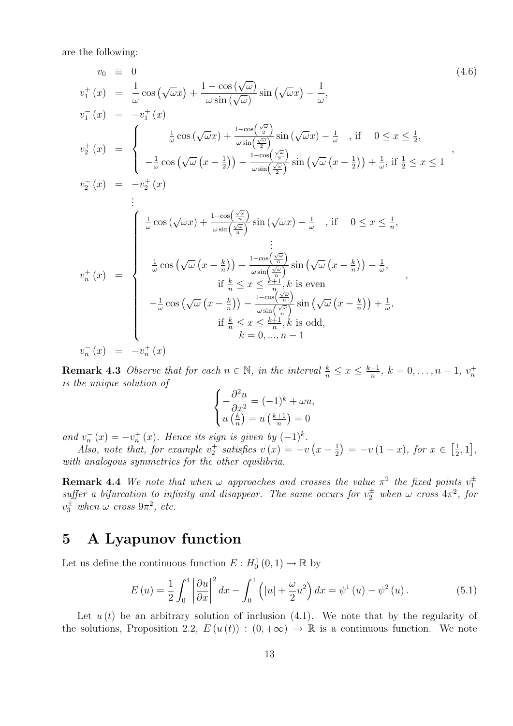are the following:

$$
v_0 \equiv 0 \qquad (4.6)
$$
\n
$$
v_1^+(x) = \frac{1}{\omega} \cos(\sqrt{\omega}x) + \frac{1 - \cos(\sqrt{\omega})}{\omega \sin(\sqrt{\omega})} \sin(\sqrt{\omega}x) - \frac{1}{\omega},
$$
\n
$$
v_1^-(x) = -v_1^+(x)
$$
\n
$$
v_2^+(x) = \begin{cases}\n\frac{1}{\omega} \cos(\sqrt{\omega}x) + \frac{1 - \cos(\frac{\sqrt{\omega}}{2})}{\omega \sin(\frac{\sqrt{\omega}}{2})} \sin(\sqrt{\omega}x) - \frac{1}{\omega}, \text{ if } 0 \le x \le \frac{1}{2}, \\
-\frac{1}{\omega} \cos(\sqrt{\omega}(x - \frac{1}{2})) - \frac{1 - \cos(\frac{\sqrt{\omega}}{2})}{\omega \sin(\frac{\sqrt{\omega}}{2})} \sin(\sqrt{\omega}(x - \frac{1}{2})) + \frac{1}{\omega}, \text{ if } \frac{1}{2} \le x \le 1\n\end{cases},
$$
\n
$$
v_2^-(x) = -v_2^+(x)
$$
\n:\n
$$
\begin{cases}\n\frac{1}{\omega} \cos(\sqrt{\omega}x) + \frac{1 - \cos(\frac{\sqrt{\omega}}{2})}{\omega \sin(\frac{\sqrt{\omega}}{2})} \sin(\sqrt{\omega}x) - \frac{1}{\omega}, \text{ if } 0 \le x \le \frac{1}{n}, \\
\frac{1}{\omega} \cos(\sqrt{\omega}(x - \frac{k}{n})) + \frac{1 - \cos(\frac{\sqrt{\omega}}{2})}{\omega \sin(\frac{\sqrt{\omega}}{2})} \sin(\sqrt{\omega}(x - \frac{k}{n})) - \frac{1}{\omega}, \\
\frac{1}{\omega} \cos(\sqrt{\omega}(x - \frac{k}{n})) - \frac{1 - \cos(\frac{\sqrt{\omega}}{2})}{\omega \sin(\frac{\sqrt{\omega}}{2})} \sin(\sqrt{\omega}(x - \frac{k}{n})) + \frac{1}{\omega}, \\
\frac{1}{\omega} \cos(\sqrt{\omega}(x - \frac{k}{n})) - \frac{1 - \cos(\frac{\sqrt{\omega}}{2})}{\omega \sin(\frac{\sqrt{\omega}}{2})} \sin(\sqrt{\omega}(x - \frac{k}{n})) + \frac{1}{\omega}, \\
\frac{1}{\omega} \cos(\sqrt{\omega}(x - \frac{k}{n})) - \frac{1 - \cos(\frac{\sqrt{\omega}}{2})}{\omega \
$$

**Remark 4.3** Observe that for each  $n \in \mathbb{N}$ , in the interval  $\frac{k}{n} \leq x \leq \frac{k+1}{n}$  $\frac{+1}{n}, k = 0, \ldots, n-1, v_n^+$ is the unique solution of

$$
\begin{cases}\n-\frac{\partial^2 u}{\partial x^2} = (-1)^k + \omega u, \\
u\left(\frac{k}{n}\right) = u\left(\frac{k+1}{n}\right) = 0\n\end{cases}
$$

and  $v_n^-(x) = -v_n^+(x)$ . Hence its sign is given by  $(-1)^k$ .

Also, note that, for example  $v_2^+$  satisfies  $v(x) = -v(x - \frac{1}{2})$  $\left(\frac{1}{2}\right) = -v(1-x), \text{ for } x \in \left[\frac{1}{2}\right]$  $\frac{1}{2}, 1],$ with analogous symmetries for the other equilibria.

**Remark 4.4** We note that when  $\omega$  approaches and crosses the value  $\pi^2$  the fixed points  $v_1^{\pm}$ suffer a bifurcation to infinity and disappear. The same occurs for  $v_2^{\pm}$  when  $\omega$  cross  $4\pi^2$ , for  $v_3^{\pm}$  when  $\omega$  cross  $9\pi^2$ , etc.

# 5 A Lyapunov function

Let us define the continuous function  $E: H_0^1(0,1) \to \mathbb{R}$  by

$$
E\left(u\right) = \frac{1}{2} \int_0^1 \left| \frac{\partial u}{\partial x} \right|^2 dx - \int_0^1 \left( |u| + \frac{\omega}{2} u^2 \right) dx = \psi^1\left(u\right) - \psi^2\left(u\right). \tag{5.1}
$$

Let  $u(t)$  be an arbitrary solution of inclusion (4.1). We note that by the regularity of the solutions, Proposition 2.2,  $E(u(t)) : (0, +\infty) \to \mathbb{R}$  is a continuous function. We note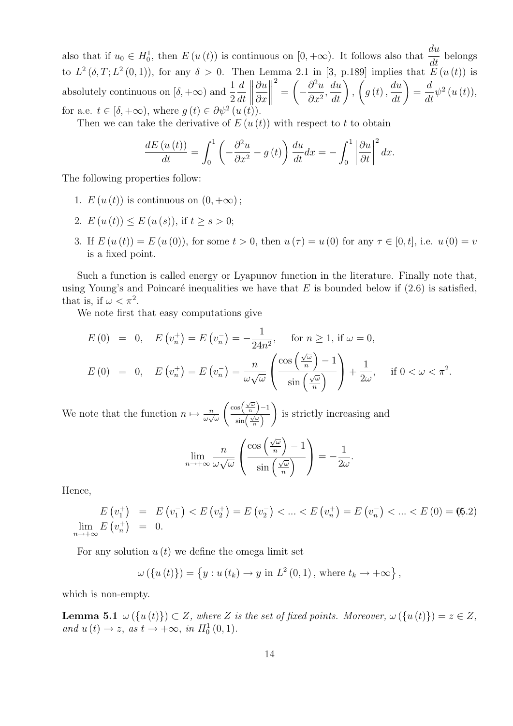also that if  $u_0 \in H_0^1$ , then  $E(u(t))$  is continuous on  $[0, +\infty)$ . It follows also that  $\frac{du}{dt}$  $rac{du}{dt}$  belongs to  $L^2(\delta, T; L^2(0, 1))$ , for any  $\delta > 0$ . Then Lemma 2.1 in [3, p.189] implies that  $\widetilde{E}(u(t))$  is absolutely continuous on  $[\delta, +\infty)$  and  $\frac{1}{2}$ 2 d dt  $\frac{1}{2}$ ∂u  $\partial x$  2 =  $\sqrt{ }$  $-\frac{\partial^2 u}{\partial x^2}$  $\frac{\partial}{\partial x^2}$  $rac{du}{dt}$ ,  $\sqrt{ }$  $g\left(t\right),$  $rac{du}{dt}$ = d  $\frac{d}{dt}\psi^2(u(t)),$ for a.e.  $t \in [\delta, +\infty)$ , where  $g(t) \in \partial \psi^2(u(t))$ .

Then we can take the derivative of  $E(u(t))$  with respect to t to obtain

$$
\frac{dE(u(t))}{dt} = \int_0^1 \left( -\frac{\partial^2 u}{\partial x^2} - g(t) \right) \frac{du}{dt} dx = -\int_0^1 \left| \frac{\partial u}{\partial t} \right|^2 dx.
$$

The following properties follow:

- 1.  $E(u(t))$  is continuous on  $(0, +\infty)$ ;
- 2.  $E(u(t)) \le E(u(s))$ , if  $t > s > 0$ ;
- 3. If  $E(u(t)) = E(u(0))$ , for some  $t > 0$ , then  $u(\tau) = u(0)$  for any  $\tau \in [0, t]$ , i.e.  $u(0) = v$ is a fixed point.

Such a function is called energy or Lyapunov function in the literature. Finally note that, using Young's and Poincaré inequalities we have that  $E$  is bounded below if (2.6) is satisfied, that is, if  $\omega < \pi^2$ .

We note first that easy computations give

$$
E(0) = 0, \quad E(v_n^+) = E(v_n^-) = -\frac{1}{24n^2}, \quad \text{for } n \ge 1, \text{ if } \omega = 0,
$$
  

$$
E(0) = 0, \quad E(v_n^+) = E(v_n^-) = \frac{n}{\omega\sqrt{\omega}} \left(\frac{\cos\left(\frac{\sqrt{\omega}}{n}\right) - 1}{\sin\left(\frac{\sqrt{\omega}}{n}\right)}\right) + \frac{1}{2\omega}, \quad \text{if } 0 < \omega < \pi^2.
$$

We note that the function  $n \mapsto \frac{n}{\omega \sqrt{\omega}}$  $\left(\cos\left(\frac{\sqrt{\omega}}{n}\right)-1\right)$  $\frac{\sqrt{n}}{\sin\left(\frac{\sqrt{\omega}}{n}\right)}$  $\setminus$ is strictly increasing and

$$
\lim_{n \to +\infty} \frac{n}{\omega \sqrt{\omega}} \left( \frac{\cos \left( \frac{\sqrt{\omega}}{n} \right) - 1}{\sin \left( \frac{\sqrt{\omega}}{n} \right)} \right) = -\frac{1}{2\omega}.
$$

Hence,

$$
E(v_1^+) = E(v_1^-) < E(v_2^+) = E(v_2^-) < \dots < E(v_n^+) = E(v_n^-) < \dots < E(0) = (5.2)
$$
\n
$$
\lim_{n \to +\infty} E(v_n^+) = 0.
$$

For any solution  $u(t)$  we define the omega limit set

$$
\omega({u(t)}) = {y : u(t_k) \to y \text{ in } L^2(0,1), \text{ where } t_k \to +\infty},
$$

which is non-empty.

**Lemma 5.1**  $\omega(\{u(t)\}) \subset Z$ , where Z is the set of fixed points. Moreover,  $\omega(\{u(t)\}) = z \in Z$ , and  $u(t) \to z$ , as  $t \to +\infty$ , in  $H_0^1(0,1)$ .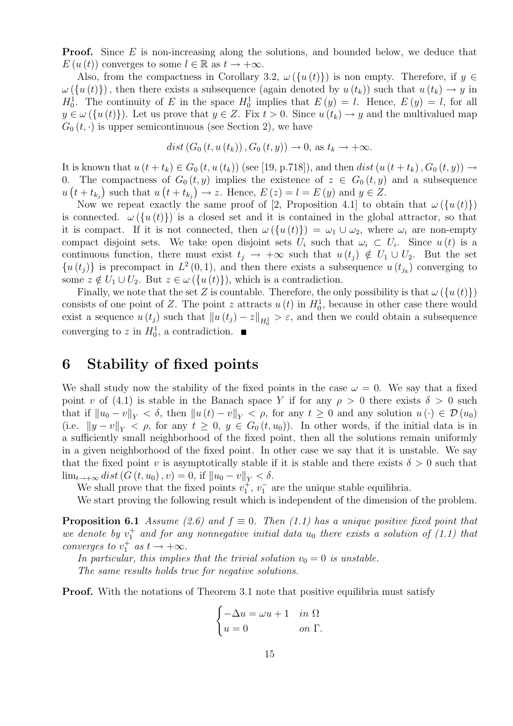**Proof.** Since E is non-increasing along the solutions, and bounded below, we deduce that  $E(u(t))$  converges to some  $l \in \mathbb{R}$  as  $t \to +\infty$ .

Also, from the compactness in Corollary 3.2,  $\omega(\{u(t)\})$  is non empty. Therefore, if  $y \in$  $\omega(\{u(t)\})$ , then there exists a subsequence (again denoted by  $u(t_k)$ ) such that  $u(t_k) \to y$  in  $H_0^1$ . The continuity of E in the space  $H_0^1$  implies that  $E(y) = l$ . Hence,  $E(y) = l$ , for all  $y \in \omega({u(t)})$ . Let us prove that  $y \in Z$ . Fix  $t > 0$ . Since  $u(t_k) \to y$  and the multivalued map  $G_0(t, \cdot)$  is upper semicontinuous (see Section 2), we have

$$
dist(G_0(t, u(t_k)), G_0(t, y)) \to 0, \text{ as } t_k \to +\infty.
$$

It is known that  $u(t + t_k) \in G_0(t, u(t_k))$  (see [19, p.718]), and then dist( $u(t + t_k)$ ,  $G_0(t, y)$ )  $\rightarrow$ 0. The compactness of  $G_0(t, y)$  implies the existence of  $z \in G_0(t, y)$  and a subsequence  $u(t+t_{k_j})$  such that  $u(t+t_{k_j}) \to z$ . Hence,  $E(z) = l = E(y)$  and  $y \in Z$ .

Now we repeat exactly the same proof of [2, Proposition 4.1] to obtain that  $\omega(\lbrace u(t) \rbrace)$ is connected.  $\omega(\lbrace u(t)\rbrace)$  is a closed set and it is contained in the global attractor, so that it is compact. If it is not connected, then  $\omega(\{u(t)\}) = \omega_1 \cup \omega_2$ , where  $\omega_i$  are non-empty compact disjoint sets. We take open disjoint sets  $U_i$  such that  $\omega_i \subset U_i$ . Since  $u(t)$  is a continuous function, there must exist  $t_i \rightarrow +\infty$  such that  $u(t_i) \notin U_1 \cup U_2$ . But the set  ${u(t<sub>j</sub>)}$  is precompact in  $L^2(0,1)$ , and then there exists a subsequence  $u(t<sub>j<sub>k</sub></sub>)$  converging to some  $z \notin U_1 \cup U_2$ . But  $z \in \omega(\lbrace u(t) \rbrace)$ , which is a contradiction.

Finally, we note that the set Z is countable. Therefore, the only possibility is that  $\omega(\lbrace u(t)\rbrace)$ consists of one point of Z. The point z attracts  $u(t)$  in  $H_0^1$ , because in other case there would exist a sequence  $u(t_j)$  such that  $||u(t_j) - z||_{H_0^1} > \varepsilon$ , and then we could obtain a subsequence converging to z in  $H_0^1$ , a contradiction.

# 6 Stability of fixed points

We shall study now the stability of the fixed points in the case  $\omega = 0$ . We say that a fixed point v of (4.1) is stable in the Banach space Y if for any  $\rho > 0$  there exists  $\delta > 0$  such that if  $||u_0 - v||_Y < \delta$ , then  $||u(t) - v||_Y < \rho$ , for any  $t \geq 0$  and any solution  $u(\cdot) \in \mathcal{D}(u_0)$ (i.e.  $||y - v||_Y < \rho$ , for any  $t \geq 0$ ,  $y \in G_0(t, u_0)$ ). In other words, if the initial data is in a sufficiently small neighborhood of the fixed point, then all the solutions remain uniformly in a given neighborhood of the fixed point. In other case we say that it is unstable. We say that the fixed point v is asymptotically stable if it is stable and there exists  $\delta > 0$  such that  $\lim_{t\to+\infty} dist(G(t,u_0),v)=0, \text{ if } \|u_0-v\|_V<\delta.$ 

We shall prove that the fixed points  $v_1^{\dagger}$ ,  $v_1^{\dagger}$  are the unique stable equilibria.

We start proving the following result which is independent of the dimension of the problem.

**Proposition 6.1** Assume (2.6) and  $f \equiv 0$ . Then (1.1) has a unique positive fixed point that we denote by  $v_1^+$  and for any nonnegative initial data  $u_0$  there exists a solution of (1.1) that converges to  $v_1^+$  as  $t \to +\infty$ .

In particular, this implies that the trivial solution  $v_0 = 0$  is unstable. The same results holds true for negative solutions.

**Proof.** With the notations of Theorem 3.1 note that positive equilibria must satisfy

$$
\begin{cases}\n-\Delta u = \omega u + 1 & \text{in } \Omega \\
u = 0 & \text{on } \Gamma.\n\end{cases}
$$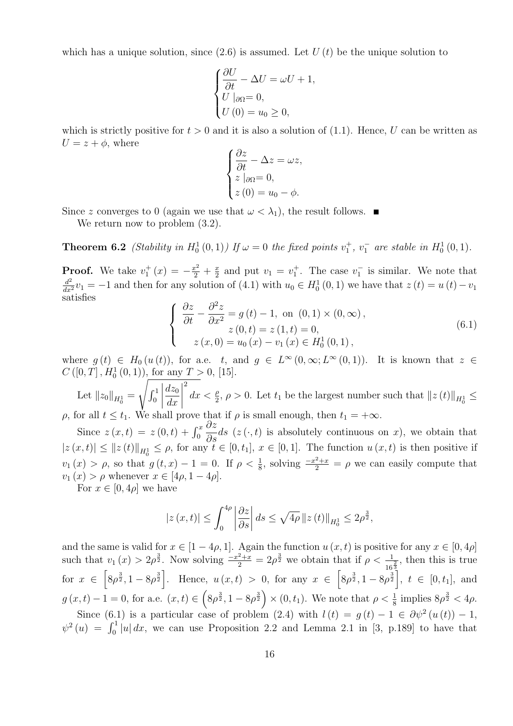which has a unique solution, since  $(2.6)$  is assumed. Let  $U(t)$  be the unique solution to

$$
\begin{cases} \frac{\partial U}{\partial t} - \Delta U = \omega U + 1, \\ U|_{\partial \Omega} = 0, \\ U(0) = u_0 \ge 0, \end{cases}
$$

which is strictly positive for  $t > 0$  and it is also a solution of (1.1). Hence, U can be written as  $U = z + \phi$ , where

$$
\begin{cases}\n\frac{\partial z}{\partial t} - \Delta z = \omega z, \\
z \mid_{\partial \Omega} = 0, \\
z (0) = u_0 - \phi.\n\end{cases}
$$

Since z converges to 0 (again we use that  $\omega < \lambda_1$ ), the result follows.

We return now to problem  $(3.2)$ .

**Theorem 6.2** (Stability in  $H_0^1(0,1)$ ) If  $\omega = 0$  the fixed points  $v_1^+, v_1^-$  are stable in  $H_0^1(0,1)$ .

**Proof.** We take  $v_1^+(x) = -\frac{x^2}{2} + \frac{x^2}{2}$  $\frac{x}{2}$  and put  $v_1 = v_1^+$ . The case  $v_1^-$  is similar. We note that  $\frac{d^2}{dx^2}v_1 = -1$  and then for any solution of (4.1) with  $u_0 \in H_0^1(0, 1)$  we have that  $z(t) = u(t) - v_1$ satisfies

$$
\begin{cases}\n\frac{\partial z}{\partial t} - \frac{\partial^2 z}{\partial x^2} = g(t) - 1, \text{ on } (0, 1) \times (0, \infty), \\
z(0, t) = z(1, t) = 0, \\
z(x, 0) = u_0(x) - v_1(x) \in H_0^1(0, 1),\n\end{cases}
$$
\n(6.1)

where  $g(t) \in H_0(u(t))$ , for a.e. t, and  $g \in L^{\infty}(0,\infty; L^{\infty}(0,1))$ . It is known that  $z \in$  $C([0, T], H_0^1(0, 1)),$  for any  $T > 0$ , [15].

Let  $||z_0||_{H_0^1} =$  $\overline{\phantom{a}}$  $\int_0^1$  $\begin{array}{c} \begin{array}{c} \begin{array}{c} \end{array} \\ \begin{array}{c} \end{array} \end{array} \end{array}$  $dz_0$  $dx$  $\begin{array}{c} \begin{array}{c} \begin{array}{c} \end{array} \\ \begin{array}{c} \end{array} \end{array} \end{array}$ 2  $dx < \frac{\rho}{2}, \rho > 0$ . Let  $t_1$  be the largest number such that  $||z(t)||_{H_0^1} \le$ ρ, for all  $t \le t_1$ . We shall prove that if ρ is small enough, then  $t_1 = +\infty$ .

Since  $z(x,t) = z(0,t) + \int_0^x$  $\frac{\partial z}{\partial s}$  *ds* (z (·, *t*) is absolutely continuous on *x*), we obtain that  $|z(x,t)| \leq ||z(t)||_{H_0^1} \leq \rho$ , for any  $t \in [0,t_1], x \in [0,1]$ . The function  $u(x,t)$  is then positive if  $v_1(x) > \rho$ , so that  $g(t,x) - 1 = 0$ . If  $\rho < \frac{1}{8}$ , solving  $\frac{-x^2 + x}{2} = \rho$  we can easily compute that  $v_1(x) > \rho$  whenever  $x \in [4\rho, 1-4\rho].$ 

For  $x \in [0, 4\rho]$  we have

$$
|z(x,t)| \leq \int_0^{4\rho} \left| \frac{\partial z}{\partial s} \right| ds \leq \sqrt{4\rho} \|z(t)\|_{H_0^1} \leq 2\rho^{\frac{3}{2}},
$$

and the same is valid for  $x \in [1-4\rho, 1]$ . Again the function  $u(x, t)$  is positive for any  $x \in [0, 4\rho]$ such that  $v_1(x) > 2\rho^{\frac{3}{2}}$ . Now solving  $\frac{-x^2+x}{2} = 2\rho^{\frac{3}{2}}$  we obtain that if  $\rho < \frac{1}{16\frac{3}{2}}$ , then this is true for  $x \in \left[8\rho^{\frac{3}{2}}, 1-8\rho^{\frac{3}{2}}\right]$ . Hence,  $u(x,t) > 0$ , for any  $x \in \left[8\rho^{\frac{3}{2}}, 1-8\rho^{\frac{3}{2}}\right]$ ,  $t \in [0, t_1]$ , and  $g(x,t) - 1 = 0$ , for a.e.  $(x,t) \in (8\rho^{\frac{3}{2}}, 1 - 8\rho^{\frac{3}{2}}) \times (0,t_1)$ . We note that  $\rho < \frac{1}{8}$  implies  $8\rho^{\frac{3}{2}} < 4\rho$ .

Since (6.1) is a particular case of problem (2.4) with  $l(t) = g(t) - 1 \in \partial \psi^2(u(t)) - 1$ ,  $\psi^2(u) = \int_0^1 |u| dx$ , we can use Proposition 2.2 and Lemma 2.1 in [3, p.189] to have that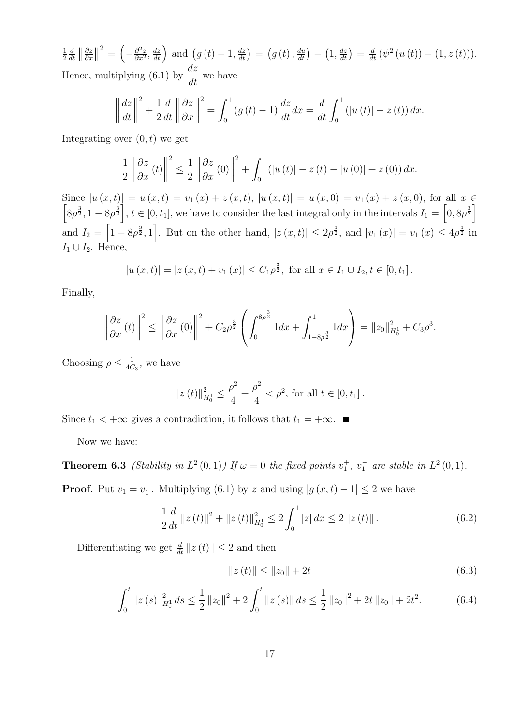1 2 d  $\frac{d}{dt}$   $\left\| \frac{\partial z}{\partial x} \right\|$  $rac{\partial z}{\partial x}$ ||  $\sigma^2 = \left(-\frac{\partial^2 z}{\partial x^2}\right)$  $\frac{\partial^2 z}{\partial x^2}$ ,  $\frac{dz}{dt}$  and  $(g(t) - 1, \frac{dz}{dt}) = (g(t), \frac{du}{dt}) - (1, \frac{dz}{dt}) = \frac{d}{dt} (\psi^2(u(t)) - (1, z(t))).$ Hence, multiplying (6.1) by  $\frac{dz}{dt}$  $\frac{d\mathbf{x}}{dt}$  we have

$$
\left\|\frac{dz}{dt}\right\|^2 + \frac{1}{2}\frac{d}{dt}\left\|\frac{\partial z}{\partial x}\right\|^2 = \int_0^1 \left(g\left(t\right) - 1\right)\frac{dz}{dt}dx = \frac{d}{dt}\int_0^1 \left(\left|u\left(t\right)\right| - z\left(t\right)\right)dx.
$$

Integrating over  $(0, t)$  we get

$$
\frac{1}{2}\left\|\frac{\partial z}{\partial x}(t)\right\|^2 \le \frac{1}{2}\left\|\frac{\partial z}{\partial x}(0)\right\|^2 + \int_0^1 \left(|u(t)| - z(t) - |u(0)| + z(0)\right) dx.
$$

Since  $|u(x,t)| = u(x,t) = v_1(x) + z(x,t)$ ,  $|u(x,t)| = u(x,0) = v_1(x) + z(x,0)$ , for all  $x \in$  $\left[8\rho^{\frac{3}{2}}, 1-8\rho^{\frac{3}{2}}\right], t \in [0, t_1],$  we have to consider the last integral only in the intervals  $I_1 = \left[0, 8\rho^{\frac{3}{2}}\right]$ and  $I_2 = \left[1 - 8\rho^{\frac{3}{2}}, 1\right]$ . But on the other hand,  $|z(x, t)| \leq 2\rho^{\frac{3}{2}}$ , and  $|v_1(x)| = v_1(x) \leq 4\rho^{\frac{3}{2}}$  in  $I_1 \cup I_2$ . Hence,

$$
|u(x,t)| = |z(x,t) + v_1(x)| \le C_1 \rho^{\frac{3}{2}}
$$
, for all  $x \in I_1 \cup I_2, t \in [0, t_1]$ .

Finally,

$$
\left\|\frac{\partial z}{\partial x}(t)\right\|^2 \le \left\|\frac{\partial z}{\partial x}(0)\right\|^2 + C_2 \rho^{\frac{3}{2}} \left(\int_0^{8\rho^{\frac{3}{2}}} 1 dx + \int_{1-8\rho^{\frac{3}{2}}}^1 1 dx\right) = \|z_0\|_{H_0^1}^2 + C_3 \rho^3.
$$

Choosing  $\rho \leq \frac{1}{4C}$  $\frac{1}{4C_3}$ , we have

$$
||z(t)||_{H_0^1}^2 \le \frac{\rho^2}{4} + \frac{\rho^2}{4} < \rho^2
$$
, for all  $t \in [0, t_1]$ .

Since  $t_1 < +\infty$  gives a contradiction, it follows that  $t_1 = +\infty$ .

Now we have:

**Theorem 6.3** (Stability in  $L^2(0,1)$ ) If  $\omega = 0$  the fixed points  $v_1^+, v_1^-$  are stable in  $L^2(0,1)$ .

**Proof.** Put  $v_1 = v_1^+$ . Multiplying (6.1) by z and using  $|g(x,t) - 1| \leq 2$  we have

$$
\frac{1}{2}\frac{d}{dt}\left\|z\left(t\right)\right\|^{2} + \left\|z\left(t\right)\right\|_{H_{0}^{1}}^{2} \le 2\int_{0}^{1}\left|z\right|dx \le 2\left\|z\left(t\right)\right\|.
$$
\n(6.2)

Differentiating we get  $\frac{d}{dt} ||z(t)|| \leq 2$  and then

$$
||z(t)|| \le ||z_0|| + 2t \tag{6.3}
$$

$$
\int_0^t \|z(s)\|_{H_0^1}^2 ds \le \frac{1}{2} \|z_0\|^2 + 2 \int_0^t \|z(s)\| ds \le \frac{1}{2} \|z_0\|^2 + 2t \|z_0\| + 2t^2. \tag{6.4}
$$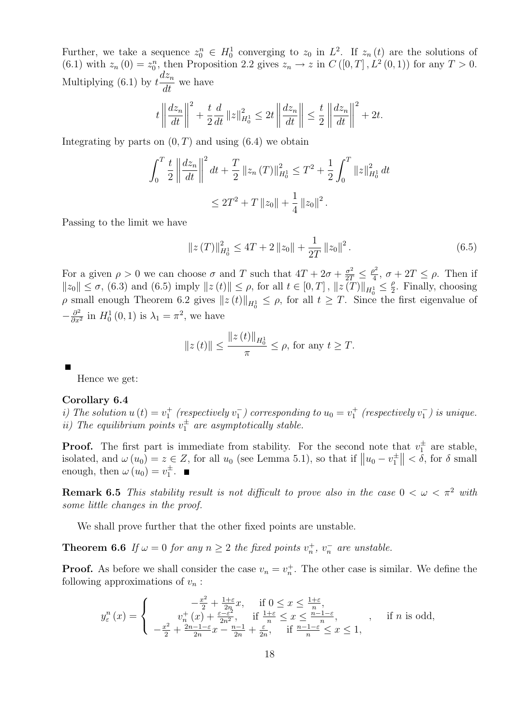Further, we take a sequence  $z_0^n \in H_0^1$  converging to  $z_0$  in  $L^2$ . If  $z_n(t)$  are the solutions of  $(6.1)$  with  $z_n(0) = z_0^n$ , then Proposition 2.2 gives  $z_n \to z$  in  $C([0, T], L^2(0, 1))$  for any  $T > 0$ . Multiplying (6.1) by  $t \frac{dz_n}{dt}$  $\frac{d}{dt}$  we have

$$
t \left\| \frac{dz_n}{dt} \right\|^2 + \frac{t}{2} \frac{d}{dt} ||z||_{H_0^1}^2 \le 2t \left\| \frac{dz_n}{dt} \right\| \le \frac{t}{2} \left\| \frac{dz_n}{dt} \right\|^2 + 2t.
$$

Integrating by parts on  $(0, T)$  and using  $(6.4)$  we obtain

$$
\int_0^T \frac{t}{2} \left\| \frac{dz_n}{dt} \right\|^2 dt + \frac{T}{2} \left\| z_n \left( T \right) \right\|_{H_0^1}^2 \le T^2 + \frac{1}{2} \int_0^T \left\| z \right\|_{H_0^1}^2 dt
$$
  

$$
\le 2T^2 + T \left\| z_0 \right\| + \frac{1}{4} \left\| z_0 \right\|^2.
$$

Passing to the limit we have

$$
||z(T)||_{H_0^1}^2 \le 4T + 2||z_0|| + \frac{1}{2T}||z_0||^2.
$$
 (6.5)

For a given  $\rho > 0$  we can choose  $\sigma$  and T such that  $4T + 2\sigma + \frac{\sigma^2}{2T} \leq \frac{\rho^2}{4}$  $\frac{\partial^2}{4}$ ,  $\sigma + 2T \leq \rho$ . Then if  $||z_0|| \leq \sigma$ , (6.3) and (6.5) imply  $||z(t)|| \leq \rho$ , for all  $t \in [0, T]$ ,  $||z(T)||_{H_0^1} \leq \frac{\rho}{2}$  $\frac{\rho}{2}$ . Finally, choosing  $\rho$  small enough Theorem 6.2 gives  $||z(t)||_{H_0^1} \leq \rho$ , for all  $t \geq T$ . Since the first eigenvalue of  $-\frac{\partial^2}{\partial x^2}$  $\frac{\partial^2}{\partial x^2}$  in  $H_0^1(0,1)$  is  $\lambda_1 = \pi^2$ , we have

$$
||z(t)|| \le \frac{||z(t)||_{H_0^1}}{\pi} \le \rho
$$
, for any  $t \ge T$ .

Hence we get:

### Corollary 6.4

i) The solution  $u(t) = v_1^+$  (respectively  $v_1^-$ ) corresponding to  $u_0 = v_1^+$  (respectively  $v_1^-$ ) is unique. ii) The equilibrium points  $v_1^{\pm}$  are asymptotically stable.

**Proof.** The first part is immediate from stability. For the second note that  $v_1^{\pm}$  are stable, isolated, and  $\omega(u_0) = z \in Z$ , for all  $u_0$  (see Lemma 5.1), so that if  $||u_0 - v_1^{\pm}|| < \delta$ , for  $\delta$  small enough, then  $\omega(u_0) = v_1^{\pm}$ .

**Remark 6.5** This stability result is not difficult to prove also in the case  $0 < \omega < \pi^2$  with some little changes in the proof.

We shall prove further that the other fixed points are unstable.

**Theorem 6.6** If  $\omega = 0$  for any  $n \geq 2$  the fixed points  $v_n^+, v_n^-$  are unstable.

**Proof.** As before we shall consider the case  $v_n = v_n^+$ . The other case is similar. We define the following approximations of  $v_n$ :

$$
y_{\varepsilon}^{n}(x) = \begin{cases} \n-\frac{x^{2}}{2} + \frac{1+\varepsilon}{2n}x, & \text{if } 0 \leq x \leq \frac{1+\varepsilon}{n}, \\
v_{n}^{+}(x) + \frac{\varepsilon - \varepsilon^{2}}{2n^{2}}, & \text{if } \frac{1+\varepsilon}{n} \leq x \leq \frac{n-1-\varepsilon}{n}, \\
-\frac{x^{2}}{2} + \frac{2n-1-\varepsilon}{2n}x - \frac{n-1}{2n} + \frac{\varepsilon}{2n}, & \text{if } \frac{n-1-\varepsilon}{n} \leq x \leq 1,\n\end{cases}
$$
, if n is odd,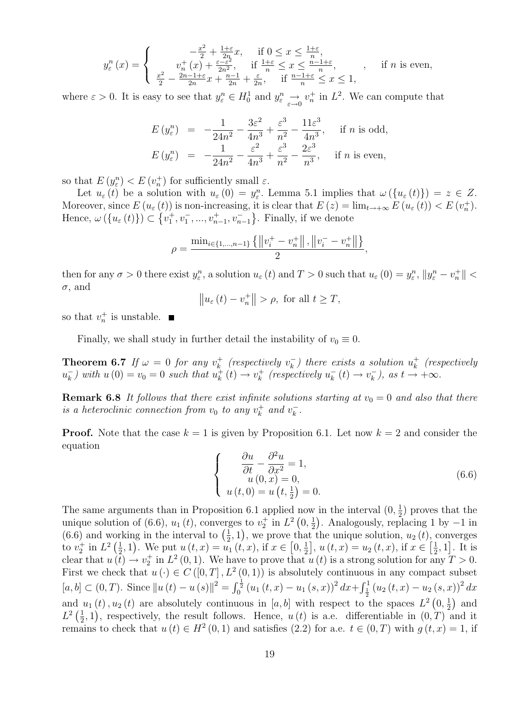$$
y_{\varepsilon}^{n}(x) = \begin{cases} \n-\frac{x^{2}}{2} + \frac{1+\varepsilon}{2n}x, & \text{if } 0 \leq x \leq \frac{1+\varepsilon}{n},\\ \nv_{n}^{+}(x) + \frac{\varepsilon - \varepsilon^{2}}{2n^{2}}, & \text{if } \frac{1+\varepsilon}{n} \leq x \leq \frac{n-1+\varepsilon}{n},\\ \n\frac{x^{2}}{2} - \frac{2n-1+\varepsilon}{2n}x + \frac{n-1}{2n} + \frac{\varepsilon}{2n}, & \text{if } \frac{n-1+\varepsilon}{n} \leq x \leq 1, \n\end{cases}
$$
, if *n* is even,

where  $\varepsilon > 0$ . It is easy to see that  $y_{\varepsilon}^n \in H_0^1$  and  $y_{\varepsilon}^n \to v_n^+$  in  $L^2$ . We can compute that

$$
E(y_{\varepsilon}^{n}) = -\frac{1}{24n^{2}} - \frac{3\varepsilon^{2}}{4n^{3}} + \frac{\varepsilon^{3}}{n^{2}} - \frac{11\varepsilon^{3}}{4n^{3}}, \text{ if } n \text{ is odd,}
$$
  

$$
E(y_{\varepsilon}^{n}) = -\frac{1}{24n^{2}} - \frac{\varepsilon^{2}}{4n^{3}} + \frac{\varepsilon^{3}}{n^{2}} - \frac{2\varepsilon^{3}}{n^{3}}, \text{ if } n \text{ is even,}
$$

so that  $E(y_{\varepsilon}^n) < E(v_n^+)$  for sufficiently small  $\varepsilon$ .

Let  $u_{\varepsilon}(t)$  be a solution with  $u_{\varepsilon}(0) = y_{\varepsilon}^n$ . Lemma 5.1 implies that  $\omega(\{u_{\varepsilon}(t)\}) = z \in Z$ . Moreover, since  $E(u_{\varepsilon}(t))$  is non-increasing, it is clear that  $E(z) = \lim_{t \to +\infty} E(u_{\varepsilon}(t)) < E(v_n^+)$ . Hence,  $\omega(\{u_{\varepsilon}(t)\}) \subset \{v_1^+, v_1^-, ..., v_{n-1}^+, v_{n-1}^-\}$ . Finally, if we denote

$$
\rho = \frac{\min_{i \in \{1, \dots, n-1\}} \{ ||v_i^+ - v_n^+||, ||v_i^- - v_n^+|| \}}{2},
$$

then for any  $\sigma > 0$  there exist  $y_{\varepsilon}^n$ , a solution  $u_{\varepsilon}(t)$  and  $T > 0$  such that  $u_{\varepsilon}(0) = y_{\varepsilon}^n$ ,  $||y_{\varepsilon}^n - v_n^+|| <$  $\sigma$ , and

$$
\|u_{\varepsilon}(t) - v_{n}^{+}\| > \rho, \text{ for all } t \geq T,
$$

so that  $v_n^+$  is unstable.

Finally, we shall study in further detail the instability of  $v_0 \equiv 0$ .

**Theorem 6.7** If  $\omega = 0$  for any  $v_k^+$  $v_k^+$  (respectively  $v_k^ \bar{u}_k^{\scriptscriptstyle \top}$ ) there exists a solution  $u_k^+$  $\boldsymbol{h}_k^+$  (respectively  $u_k^ \binom{m}{k}$  with  $u(0) = v_0 = 0$  such that  $u_k^+$  $v_k^+(t) \to v_k^+$  $u_k^+$  (respectively  $u_k^ \overline{k}(t) \rightarrow v_k^ (\overline{k}_k)$ , as  $t \to +\infty$ .

**Remark 6.8** It follows that there exist infinite solutions starting at  $v_0 = 0$  and also that there is a heteroclinic connection from  $v_0$  to any  $v_k^+$  $v_k^+$  and  $v_k^ \frac{-}{k}$ .

**Proof.** Note that the case  $k = 1$  is given by Proposition 6.1. Let now  $k = 2$  and consider the equation

$$
\begin{cases}\n\frac{\partial u}{\partial t} - \frac{\partial^2 u}{\partial x^2} = 1, \nu(0, x) = 0, \nu(t, 0) = u(t, \frac{1}{2}) = 0.\n\end{cases}
$$
\n(6.6)

The same arguments than in Proposition 6.1 applied now in the interval  $(0, \frac{1}{2})$  $(\frac{1}{2})$  proves that the unique solution of (6.6),  $u_1(t)$ , converges to  $v_2^+$  in  $L^2(0, \frac{1}{2})$  $\frac{1}{2}$ ). Analogously, replacing 1 by  $-1$  in  $(6.6)$  and working in the interval to  $\left(\frac{1}{2}\right)$  $(\frac{1}{2}, 1)$ , we prove that the unique solution,  $u_2(t)$ , converges to  $v_2^+$  in  $L^2\left(\frac{1}{2}\right)$  $(\frac{1}{2}, 1)$ . We put  $u(t, x) = u_1(t, x)$ , if  $x \in [0, \frac{1}{2})$  $\frac{1}{2}$ ,  $u(t, x) = u_2(t, x)$ , if  $x \in \left[\frac{1}{2}\right]$  $\frac{1}{2}$ , 1]. It is clear that  $u(t) \to v_2^+$  in  $L^2(0,1)$ . We have to prove that  $u(t)$  is a strong solution for any  $T > 0$ . First we check that  $u(\cdot) \in C([0,T], L^2(0,1))$  is absolutely continuous in any compact subset  $[a, b] \subset (0, T)$ . Since  $||u(t) - u(s)||^2 = \int_0^{\frac{1}{2}} (u_1(t, x) - u_1(s, x))^2 dx + \int_{\frac{1}{2}}^1 (u_2(t, x) - u_2(s, x))^2 dx$ and  $u_1(t)$ ,  $u_2(t)$  are absolutely continuous in [a, b] with respect to the spaces  $L^2(0, \frac{1}{2})$  $(\frac{1}{2})$  and  $L^2\left(\frac{1}{2}\right)$  $(\frac{1}{2}, 1)$ , respectively, the result follows. Hence,  $u(t)$  is a.e. differentiable in  $(0, T)$  and it remains to check that  $u(t) \in H^2(0,1)$  and satisfies  $(2.2)$  for a.e.  $t \in (0,T)$  with  $g(t,x) = 1$ , if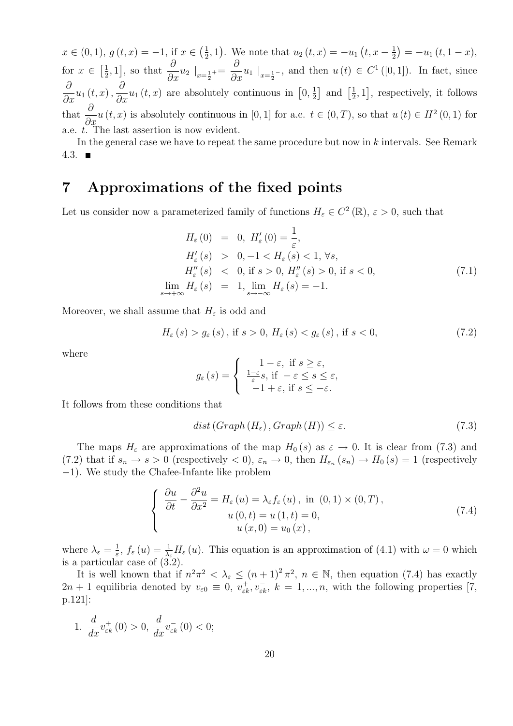$x \in (0,1), g(t,x) = -1, \text{ if } x \in \left(\frac{1}{2}\right)$  $(\frac{1}{2}, 1)$ . We note that  $u_2(t, x) = -u_1(t, x - \frac{1}{2})$  $(\frac{1}{2}) = -u_1(t, 1-x),$ for  $x \in \left[\frac{1}{2}\right]$  $\left[\frac{1}{2},1\right]$ , so that  $\frac{\partial}{\partial x}u_2\big|_{x=\frac{1}{2}}$ +=  $\frac{\partial}{\partial x}$ u<sub>1</sub> |<sub>x= $\frac{1}{2}$ </sub>-, and then u(t) ∈ C<sup>1</sup> ([0, 1]). In fact, since  $\partial$  $\frac{\partial}{\partial x}u_1(t,x),$  $\frac{\partial}{\partial x}u_1(t,x)$  are absolutely continuous in  $[0, \frac{1}{2}]$  $\frac{1}{2}$  and  $\left[\frac{1}{2}\right]$  $\left[\frac{1}{2},1\right]$ , respectively, it follows that  $\frac{\partial}{\partial x}u(t, x)$  is absolutely continuous in [0, 1] for a.e.  $t \in (0, T)$ , so that  $u(t) \in H^2(0, 1)$  for a.e. t. The last assertion is now evident.

In the general case we have to repeat the same procedure but now in k intervals. See Remark 4.3.  $\blacksquare$ 

# 7 Approximations of the fixed points

Let us consider now a parameterized family of functions  $H_{\varepsilon} \in C^2(\mathbb{R}), \varepsilon > 0$ , such that

$$
H_{\varepsilon}(0) = 0, H'_{\varepsilon}(0) = \frac{1}{\varepsilon},
$$
  
\n
$$
H'_{\varepsilon}(s) > 0, -1 < H_{\varepsilon}(s) < 1, \forall s,
$$
  
\n
$$
H''_{\varepsilon}(s) < 0, \text{ if } s > 0, H''_{\varepsilon}(s) > 0, \text{ if } s < 0,
$$
  
\n
$$
\lim_{s \to +\infty} H_{\varepsilon}(s) = 1, \lim_{s \to -\infty} H_{\varepsilon}(s) = -1.
$$
\n(7.1)

Moreover, we shall assume that  $H_{\varepsilon}$  is odd and

$$
H_{\varepsilon}(s) > g_{\varepsilon}(s) \text{, if } s > 0, \ H_{\varepsilon}(s) < g_{\varepsilon}(s) \text{, if } s < 0,\tag{7.2}
$$

where

$$
g_{\varepsilon}(s) = \begin{cases} 1 - \varepsilon, \text{ if } s \geq \varepsilon, \\ \frac{1 - \varepsilon}{\varepsilon} s, \text{ if } -\varepsilon \leq s \leq \varepsilon, \\ -1 + \varepsilon, \text{ if } s \leq -\varepsilon. \end{cases}
$$

It follows from these conditions that

$$
dist\left(Graph\left(H_{\varepsilon}\right),Graph\left(H\right)\right) \leq \varepsilon. \tag{7.3}
$$

The maps  $H_{\varepsilon}$  are approximations of the map  $H_0(s)$  as  $\varepsilon \to 0$ . It is clear from (7.3) and (7.2) that if  $s_n \to s > 0$  (respectively  $\lt 0$ ),  $\varepsilon_n \to 0$ , then  $H_{\varepsilon_n}(s_n) \to H_0(s) = 1$  (respectively −1). We study the Chafee-Infante like problem

$$
\begin{cases}\n\frac{\partial u}{\partial t} - \frac{\partial^2 u}{\partial x^2} = H_\varepsilon(u) = \lambda_\varepsilon f_\varepsilon(u), \text{ in } (0,1) \times (0,T), \\
u(0,t) = u(1,t) = 0, \\
u(x,0) = u_0(x),\n\end{cases} (7.4)
$$

where  $\lambda_{\varepsilon} = \frac{1}{\varepsilon}$  $\frac{1}{\varepsilon}$ ,  $f_{\varepsilon}(u) = \frac{1}{\lambda_{\varepsilon}} H_{\varepsilon}(u)$ . This equation is an approximation of (4.1) with  $\omega = 0$  which is a particular case of  $(\overline{3.2})$ .

It is well known that if  $n^2\pi^2 < \lambda_{\varepsilon} \le (n+1)^2 \pi^2$ ,  $n \in \mathbb{N}$ , then equation (7.4) has exactly  $2n+1$  equilibria denoted by  $v_{\varepsilon 0} \equiv 0, v_{\varepsilon k}^+, v_{\varepsilon k}^-, k = 1, ..., n$ , with the following properties [7, p.121]:

1. d  $\frac{d}{dx}v_{\varepsilon k}^{+}(0) > 0,$ d  $\frac{u}{dx}v_{\varepsilon k}^{-}(0) < 0;$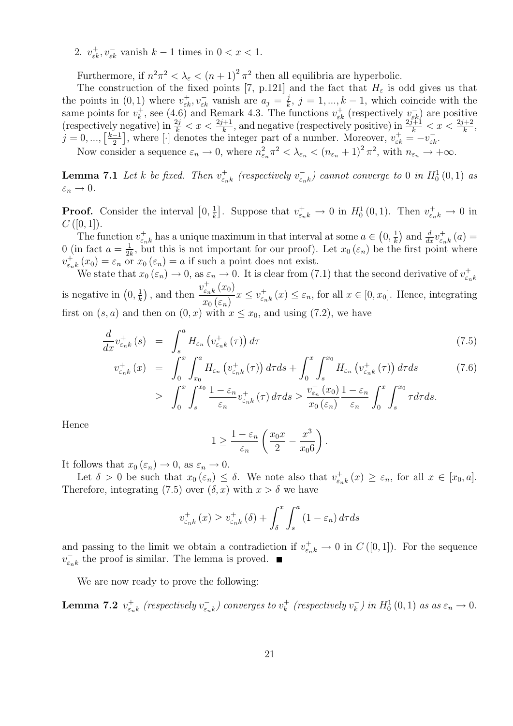2.  $v_{\varepsilon k}^+$ ,  $v_{\varepsilon k}^-$  vanish  $k-1$  times in  $0 < x < 1$ .

Furthermore, if  $n^2 \pi^2 < \lambda_{\varepsilon} < (n+1)^2 \pi^2$  then all equilibria are hyperbolic.

The construction of the fixed points [7, p.121] and the fact that  $H_{\varepsilon}$  is odd gives us that the points in (0, 1) where  $v_{\varepsilon k}^+, v_{\varepsilon k}^-$  vanish are  $a_j = \frac{j}{k}$  $\frac{j}{k}$ ,  $j = 1, ..., k - 1$ , which coincide with the same points for  $v_k^+$ <sup>+</sup>, see (4.6) and Remark 4.3. The functions  $v_{\varepsilon k}^+$  (respectively  $v_{\varepsilon k}^-$ ) are positive (respectively negative) in  $\frac{2j}{k} < x < \frac{2j+1}{k}$ , and negative (respectively positive) in  $\frac{2j+1}{k} < x < \frac{2j+2}{k}$ ,  $j = 0, ..., \lceil \frac{k-1}{2} \rceil$  $\left[\frac{-1}{2}\right]$ , where  $\left[\cdot\right]$  denotes the integer part of a number. Moreover,  $v_{\varepsilon k}^{+} = -v_{\varepsilon k}^{-}$ . Now consider a sequence  $\varepsilon_n \to 0$ , where  $n_{\varepsilon_n}^2 \pi^2 < \lambda_{\varepsilon_n} < (n_{\varepsilon_n} + 1)^2 \pi^2$ , with  $n_{\varepsilon_n} \to +\infty$ .

**Lemma 7.1** Let k be fixed. Then  $v_{\varepsilon}^+$  $v_{\varepsilon_n k}^+$  (respectively  $v_{\varepsilon_n}^ (\bar{\varepsilon_{n k}})$  cannot converge to 0 in  $H^1_0(0,1)$  as  $\varepsilon_n \to 0.$ 

**Proof.** Consider the interval  $[0, \frac{1}{k}]$  $\frac{1}{k}$ . Suppose that  $v_{\varepsilon_n k}^+ \to 0$  in  $H_0^1(0,1)$ . Then  $v_{\varepsilon_n k}^+ \to 0$  in  $C([0,1]).$ 

The function  $v_{\varepsilon}^+$  $\frac{1}{\varepsilon_n k}$  has a unique maximum in that interval at some  $a \in (0, \frac{1}{k})$  $(\frac{1}{k})$  and  $\frac{d}{dx}v_{\varepsilon_n}^+$  $\int_{\varepsilon_{n}k}^{+}\left( a\right) =% \frac{1}{\left\vert \varepsilon_{n}+\varepsilon_{n}\right\vert }$ 0 (in fact  $a = \frac{1}{2l}$  $\frac{1}{2k}$ , but this is not important for our proof). Let  $x_0(\varepsilon_n)$  be the first point where  $v_{\varepsilon}^+$  $\epsilon_{n,k}^{+}(x_0) = \epsilon_n$  or  $x_0(\epsilon_n) = a$  if such a point does not exist.

We state that  $x_0(\varepsilon_n) \to 0$ , as  $\varepsilon_n \to 0$ . It is clear from (7.1) that the second derivative of  $v_{\varepsilon_n}^+$  $\varepsilon_n$ k is negative in  $(0, \frac{1}{k})$  $\frac{1}{k}$ , and then  $v_{\varepsilon}^+$  $\int_{\varepsilon_{n}k}^{+}\left( x_{0}\right)$  $x_0(\varepsilon_n)$  $x \leq v_{\varepsilon}^+$  $\epsilon_{n,k}^+(x) \leq \epsilon_n$ , for all  $x \in [0, x_0]$ . Hence, integrating first on  $(s, a)$  and then on  $(0, x)$  with  $x \leq x_0$ , and using  $(7.2)$ , we have

$$
\frac{d}{dx}v_{\varepsilon_{n}k}^{+}(s) = \int_{s}^{a} H_{\varepsilon_{n}}\left(v_{\varepsilon_{n}k}^{+}(\tau)\right)d\tau
$$
\n(7.5)

$$
v_{\varepsilon_{n}k}^{+}(x) = \int_{0}^{x} \int_{x_{0}}^{a} H_{\varepsilon_{n}}\left(v_{\varepsilon_{n}k}^{+}(\tau)\right) d\tau ds + \int_{0}^{x} \int_{s}^{x_{0}} H_{\varepsilon_{n}}\left(v_{\varepsilon_{n}k}^{+}(\tau)\right) d\tau ds \qquad (7.6)
$$
  

$$
\geq \int_{0}^{x} \int_{s}^{x_{0}} \frac{1 - \varepsilon_{n}}{\varepsilon_{n}} v_{\varepsilon_{n}k}^{+}(\tau) d\tau ds \geq \frac{v_{\varepsilon_{n}}^{+}(x_{0})}{x_{0}\left(\varepsilon_{n}\right)} \frac{1 - \varepsilon_{n}}{\varepsilon_{n}} \int_{0}^{x} \int_{s}^{x_{0}} \tau d\tau ds.
$$

Hence

$$
1 \ge \frac{1 - \varepsilon_n}{\varepsilon_n} \left( \frac{x_0 x}{2} - \frac{x^3}{x_0 6} \right).
$$

It follows that  $x_0(\varepsilon_n) \to 0$ , as  $\varepsilon_n \to 0$ .

Let  $\delta > 0$  be such that  $x_0(\varepsilon_n) \leq \delta$ . We note also that  $v_{\varepsilon_n}^+$  $\epsilon_{n,k}^+(x) \geq \epsilon_n$ , for all  $x \in [x_0, a]$ . Therefore, integrating (7.5) over  $(\delta, x)$  with  $x > \delta$  we have

$$
v_{\varepsilon_{n}k}^{+}(x) \ge v_{\varepsilon_{n}k}^{+}(\delta) + \int_{\delta}^{x} \int_{s}^{a} (1 - \varepsilon_{n}) d\tau ds
$$

and passing to the limit we obtain a contradiction if  $v_{\varepsilon_n k}^+ \to 0$  in  $C([0,1])$ . For the sequence  $v_{\varepsilon_{z}}^{-}$  $\overline{\epsilon}_{nk}$  the proof is similar. The lemma is proved.

We are now ready to prove the following:

Lemma 7.2  $v_{\varepsilon}^+$  $_{\varepsilon_{n}k}^{+}$  (respectively  $v_{\varepsilon_{n}}^{-}$  $(\bar{\varepsilon}_{nk}^{-})$  converges to  $v_{k}^{+}$  $v_k^+$  (respectively  $v_k^ \kappa_{k}^{-}$ ) in  $H_0^1(0,1)$  as as  $\varepsilon_n \to 0$ .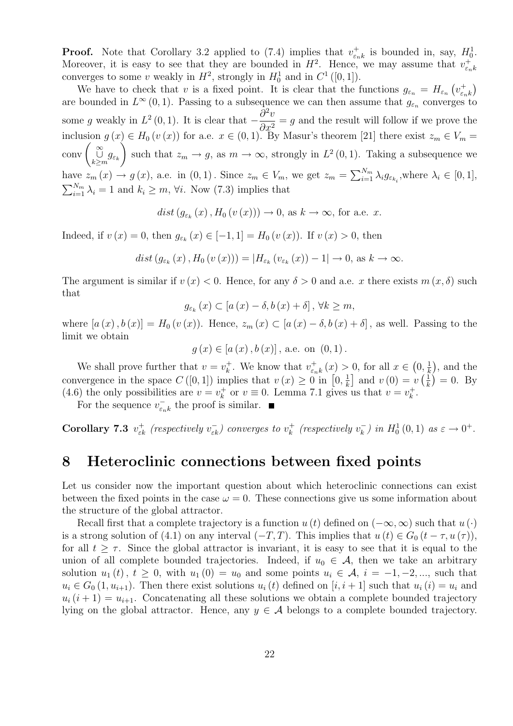**Proof.** Note that Corollary 3.2 applied to (7.4) implies that  $v_{\epsilon}^+$  $\epsilon_{nk}^+$  is bounded in, say,  $H_0^1$ . Moreover, it is easy to see that they are bounded in  $H^2$ . Hence, we may assume that  $v_{\varepsilon}^+$  $\varepsilon_n$ k converges to some v weakly in  $H^2$ , strongly in  $H_0^1$  and in  $C^1([0,1])$ .

We have to check that v is a fixed point. It is clear that the functions  $g_{\varepsilon_n} = H_{\varepsilon_n} \left( v_{\varepsilon_n}^+ \right)$  $\binom{+}{\varepsilon_n k}$ are bounded in  $L^{\infty}(0,1)$ . Passing to a subsequence we can then assume that  $g_{\varepsilon_n}$  converges to some g weakly in  $L^2(0,1)$ . It is clear that  $-\frac{\partial^2 v}{\partial x^2}$  $\frac{\partial^2 u}{\partial x^2} = g$  and the result will follow if we prove the inclusion  $g(x) \in H_0(v(x))$  for a.e.  $x \in (0,1)$ . By Masur's theorem [21] there exist  $z_m \in V_m =$  $\operatorname{conv}\left(\bigcup_{k\geq m}^{\infty}g_{\varepsilon_k}\right)$  $\setminus$ such that  $z_m \to g$ , as  $m \to \infty$ , strongly in  $L^2(0,1)$ . Taking a subsequence we have  $z_m(x) \to g(x)$ , a.e. in  $(0,1)$ . Since  $z_m \in V_m$ , we get  $z_m = \sum_{i=1}^{N_m} \lambda_i g_{\varepsilon_{k_i}}$ , where  $\lambda_i \in [0,1]$ ,  $\sum_{i=1}^{N_m} \lambda_i = 1$  and  $k_i \geq m$ ,  $\forall i$ . Now (7.3) implies that

 $dist(g_{\varepsilon_k}(x), H_0(v(x))) \to 0$ , as  $k \to \infty$ , for a.e. x.

Indeed, if  $v(x) = 0$ , then  $g_{\varepsilon_k}(x) \in [-1, 1] = H_0(v(x))$ . If  $v(x) > 0$ , then

 $dist(g_{\varepsilon_k}(x), H_0(v(x))) = |H_{\varepsilon_k}(v_{\varepsilon_k}(x)) - 1| \to 0$ , as  $k \to \infty$ .

The argument is similar if  $v(x) < 0$ . Hence, for any  $\delta > 0$  and a.e. x there exists  $m(x, \delta)$  such that

 $g_{\varepsilon_k}(x) \subset [a(x) - \delta, b(x) + \delta], \forall k \geq m,$ 

where  $[a(x), b(x)] = H_0(v(x))$ . Hence,  $z_m(x) \subset [a(x) - \delta, b(x) + \delta]$ , as well. Passing to the limit we obtain

 $g(x) \in [a(x), b(x)]$ , a.e. on  $(0, 1)$ .

We shall prove further that  $v = v_k^+$ <sup> $+$ </sup><sub> $k$ </sub>. We know that  $v_{\varepsilon_{n}}^{+}$  $\int_{\varepsilon_n k}^+(x) > 0$ , for all  $x \in (0, \frac{1}{k})$  $(\frac{1}{k})$ , and the convergence in the space  $C([0,1])$  implies that  $v(x) \geq 0$  in  $[0, \frac{1}{k}]$  $\left[\frac{1}{k}\right]$  and  $v\left(0\right) = v\left(\frac{1}{k}\right)$  $\frac{1}{k}$  = 0. By (4.6) the only possibilities are  $v = v_k^+$  $k \atop k$  or  $v \equiv 0$ . Lemma 7.1 gives us that  $v = v_k^+$  $\frac{1}{k}$ .

For the sequence  $v_{\varepsilon}^ \bar{\epsilon}_{nk}$  the proof is similar.

Corollary 7.3  $v_{\varepsilon k}^+$  (respectively  $v_{\varepsilon k}^-$ ) converges to  $v_k^+$  $v_k^+$  (respectively  $v_k^$  $h_k^-$ ) in  $H_0^1(0,1)$  as  $\varepsilon \to 0^+$ .

# 8 Heteroclinic connections between fixed points

Let us consider now the important question about which heteroclinic connections can exist between the fixed points in the case  $\omega = 0$ . These connections give us some information about the structure of the global attractor.

Recall first that a complete trajectory is a function  $u(t)$  defined on  $(-\infty,\infty)$  such that  $u(t)$ is a strong solution of (4.1) on any interval  $(-T, T)$ . This implies that  $u(t) \in G_0$   $(t - \tau, u(\tau))$ , for all  $t \geq \tau$ . Since the global attractor is invariant, it is easy to see that it is equal to the union of all complete bounded trajectories. Indeed, if  $u_0 \in \mathcal{A}$ , then we take an arbitrary solution  $u_1(t)$ ,  $t \geq 0$ , with  $u_1(0) = u_0$  and some points  $u_i \in \mathcal{A}$ ,  $i = -1, -2, \dots$ , such that  $u_i \in G_0(1, u_{i+1})$ . Then there exist solutions  $u_i(t)$  defined on  $[i, i+1]$  such that  $u_i(i) = u_i$  and  $u_i (i + 1) = u_{i+1}$ . Concatenating all these solutions we obtain a complete bounded trajectory lying on the global attractor. Hence, any  $y \in A$  belongs to a complete bounded trajectory.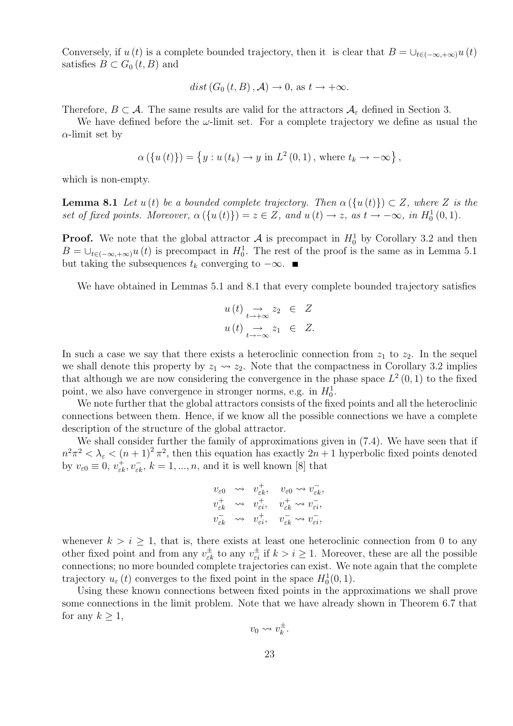Conversely, if  $u(t)$  is a complete bounded trajectory, then it is clear that  $B = \bigcup_{t \in (-\infty, +\infty)} u(t)$ satisfies  $B \subset G_0(t, B)$  and

$$
dist(G_0(t, B), \mathcal{A}) \to 0
$$
, as  $t \to +\infty$ .

Therefore,  $B \subset \mathcal{A}$ . The same results are valid for the attractors  $\mathcal{A}_{\varepsilon}$  defined in Section 3.

We have defined before the  $\omega$ -limit set. For a complete trajectory we define as usual the  $\alpha$ -limit set by

$$
\alpha(\lbrace u(t)\rbrace) = \lbrace y: u(t_k) \to y \text{ in } L^2(0,1), \text{ where } t_k \to -\infty \rbrace,
$$

which is non-empty.

**Lemma 8.1** Let  $u(t)$  be a bounded complete trajectory. Then  $\alpha(\{u(t)\}) \subset Z$ , where Z is the set of fixed points. Moreover,  $\alpha(\lbrace u(t) \rbrace) = z \in Z$ , and  $u(t) \to z$ , as  $t \to -\infty$ , in  $H_0^1(0,1)$ .

**Proof.** We note that the global attractor  $\mathcal{A}$  is precompact in  $H_0^1$  by Corollary 3.2 and then  $B = \bigcup_{t \in (-\infty, +\infty)} u(t)$  is precompact in  $H_0^1$ . The rest of the proof is the same as in Lemma 5.1 but taking the subsequences  $t_k$  converging to  $-\infty$ .

We have obtained in Lemmas 5.1 and 8.1 that every complete bounded trajectory satisfies

$$
u(t) \underset{t \to +\infty}{\to} z_2 \in Z
$$
  

$$
u(t) \underset{t \to -\infty}{\to} z_1 \in Z.
$$

In such a case we say that there exists a heteroclinic connection from  $z_1$  to  $z_2$ . In the sequel we shall denote this property by  $z_1 \rightarrow z_2$ . Note that the compactness in Corollary 3.2 implies that although we are now considering the convergence in the phase space  $L^2(0,1)$  to the fixed point, we also have convergence in stronger norms, e.g. in  $H_0^1$ .

We note further that the global attractors consists of the fixed points and all the heteroclinic connections between them. Hence, if we know all the possible connections we have a complete description of the structure of the global attractor.

We shall consider further the family of approximations given in (7.4). We have seen that if  $n^2\pi^2 < \lambda_{\varepsilon} < (n+1)^2 \pi^2$ , then this equation has exactly  $2n+1$  hyperbolic fixed points denoted by  $v_{\varepsilon 0} \equiv 0, v_{\varepsilon k}^+, v_{\varepsilon k}^-, k = 1, ..., n$ , and it is well known [8] that

$$
\begin{array}{ccc} v_{\varepsilon 0} & \leadsto & v_{\varepsilon k}^{+}, \quad v_{\varepsilon 0} \leadsto v_{\varepsilon k}^{-}, \\ v_{\varepsilon k}^{+} & \leadsto & v_{\varepsilon i}^{+}, \quad v_{\varepsilon k}^{+} \leadsto v_{\varepsilon i}^{-}, \\ v_{\varepsilon k}^{-} & \leadsto & v_{\varepsilon i}^{+}, \quad v_{\varepsilon k}^{-} \leadsto v_{\varepsilon i}^{-}, \end{array}
$$

whenever  $k > i \geq 1$ , that is, there exists at least one heteroclinic connection from 0 to any other fixed point and from any  $v_{\varepsilon k}^{\pm}$  to any  $v_{\varepsilon i}^{\pm}$  if  $k > i \geq 1$ . Moreover, these are all the possible connections; no more bounded complete trajectories can exist. We note again that the complete trajectory  $u_{\varepsilon}(t)$  converges to the fixed point in the space  $H_0^1(0,1)$ .

Using these known connections between fixed points in the approximations we shall prove some connections in the limit problem. Note that we have already shown in Theorem 6.7 that for any  $k \geq 1$ ,

$$
v_0\leadsto v_k^\pm
$$

.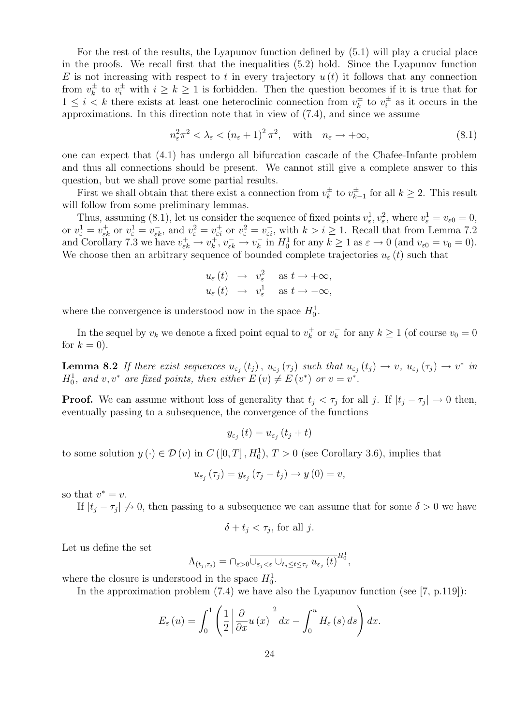For the rest of the results, the Lyapunov function defined by (5.1) will play a crucial place in the proofs. We recall first that the inequalities (5.2) hold. Since the Lyapunov function E is not increasing with respect to t in every trajectory  $u(t)$  it follows that any connection from  $v_k^{\pm}$  $\frac{1}{k}$  to  $v_i^{\pm}$  with  $i \geq k \geq 1$  is forbidden. Then the question becomes if it is true that for  $1 \leq i \leq k$  there exists at least one heteroclinic connection from  $v_k^{\pm}$  $v_k^{\pm}$  to  $v_i^{\pm}$  $i^{\pm}$  as it occurs in the approximations. In this direction note that in view of (7.4), and since we assume

$$
n_{\varepsilon}^{2}\pi^{2} < \lambda_{\varepsilon} < (n_{\varepsilon} + 1)^{2}\pi^{2}, \quad \text{with} \quad n_{\varepsilon} \to +\infty,
$$
\n
$$
(8.1)
$$

one can expect that (4.1) has undergo all bifurcation cascade of the Chafee-Infante problem and thus all connections should be present. We cannot still give a complete answer to this question, but we shall prove some partial results.

First we shall obtain that there exist a connection from  $v_k^{\pm}$  $v_k^{\pm}$  to  $v_k^{\pm}$  $\sum_{k=1}^{\pm}$  for all  $k \geq 2$ . This result will follow from some preliminary lemmas.

Thus, assuming (8.1), let us consider the sequence of fixed points  $v_{\varepsilon}^1, v_{\varepsilon}^2$ , where  $v_{\varepsilon}^1 = v_{\varepsilon 0} = 0$ , or  $v_{\varepsilon}^1 = v_{\varepsilon k}^+$  or  $v_{\varepsilon}^1 = v_{\varepsilon k}^-$ , and  $v_{\varepsilon}^2 = v_{\varepsilon i}^+$  or  $v_{\varepsilon}^2 = v_{\varepsilon i}^-$ , with  $k > i \ge 1$ . Recall that from Lemma 7.2 and Corollary 7.3 we have  $v_{\varepsilon k}^+ \to v_k^+$  $v_k^+, v_{\varepsilon k}^- \to v_k^ \overline{k}_{k}$  in  $H_0^1$  for any  $k \geq 1$  as  $\varepsilon \to 0$  (and  $v_{\varepsilon 0} = v_0 = 0$ ). We choose then an arbitrary sequence of bounded complete trajectories  $u_{\varepsilon}(t)$  such that

$$
u_{\varepsilon}(t) \rightarrow v_{\varepsilon}^{2} \text{ as } t \rightarrow +\infty,
$$
  

$$
u_{\varepsilon}(t) \rightarrow v_{\varepsilon}^{1} \text{ as } t \rightarrow -\infty,
$$

where the convergence is understood now in the space  $H_0^1$ .

In the sequel by  $v_k$  we denote a fixed point equal to  $v_k^+$  $v_k^+$  or  $v_k^$  $k \geq 1$  (of course  $v_0 = 0$ for  $k = 0$ ).

**Lemma 8.2** If there exist sequences  $u_{\varepsilon_j}(t_j)$ ,  $u_{\varepsilon_j}(\tau_j)$  such that  $u_{\varepsilon_j}(t_j) \to v$ ,  $u_{\varepsilon_j}(\tau_j) \to v^*$  in  $H_0^1$ , and v, v<sup>\*</sup> are fixed points, then either  $E(v) \neq E(v^*)$  or  $v = v^*$ .

**Proof.** We can assume without loss of generality that  $t_j < \tau_j$  for all j. If  $|t_j - \tau_j| \to 0$  then, eventually passing to a subsequence, the convergence of the functions

$$
y_{\varepsilon_j}\left(t\right) = u_{\varepsilon_j}\left(t_j + t\right)
$$

to some solution  $y(\cdot) \in \mathcal{D}(v)$  in  $C([0,T], H_0^1)$ ,  $T > 0$  (see Corollary 3.6), implies that

$$
u_{\varepsilon_j}(\tau_j) = y_{\varepsilon_j}(\tau_j - t_j) \to y(0) = v,
$$

so that  $v^* = v$ .

If  $|t_j - \tau_j| \nrightarrow 0$ , then passing to a subsequence we can assume that for some  $\delta > 0$  we have

$$
\delta + t_j < \tau_j \text{, for all } j.
$$

Let us define the set

$$
\Lambda_{(t_j,\tau_j)} = \bigcap_{\varepsilon>0} \overline{\bigcup_{\varepsilon_j<\varepsilon} \bigcup_{t_j\leq t\leq \tau_j} u_{\varepsilon_j}\left(t\right)}^{H_0^1},
$$

where the closure is understood in the space  $H_0^1$ .

In the approximation problem  $(7.4)$  we have also the Lyapunov function (see [7, p.119]):

$$
E_{\varepsilon}(u) = \int_0^1 \left(\frac{1}{2}\left|\frac{\partial}{\partial x}u\left(x\right)\right|^2 dx - \int_0^u H_{\varepsilon}(s) ds\right) dx.
$$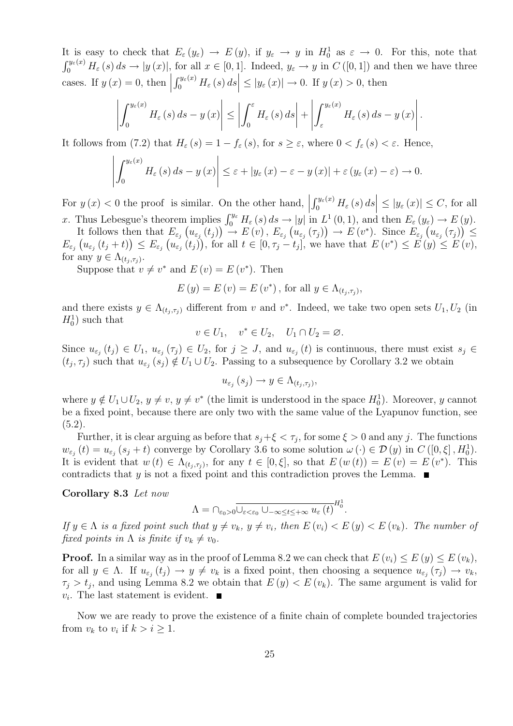It is easy to check that  $E_{\varepsilon}(y_{\varepsilon}) \to E(y)$ , if  $y_{\varepsilon} \to y$  in  $H_0^1$  as  $\varepsilon \to 0$ . For this, note that  $\int_0^{y_{\varepsilon}(x)} H_{\varepsilon}(s) ds \to |y(x)|$ , for all  $x \in [0,1]$ . Indeed,  $y_{\varepsilon} \to y$  in  $C([0,1])$  and then we have three cases. If  $y(x) = 0$ , then  $\left| \int_0^{y_\varepsilon(x)} H_\varepsilon(s) ds \right| \leq |y_\varepsilon(x)| \to 0$ . If  $y(x) > 0$ , then

$$
\left|\int_{0}^{y_{\varepsilon}(x)} H_{\varepsilon}\left(s\right) ds - y\left(x\right)\right| \leq \left|\int_{0}^{\varepsilon} H_{\varepsilon}\left(s\right) ds\right| + \left|\int_{\varepsilon}^{y_{\varepsilon}(x)} H_{\varepsilon}\left(s\right) ds - y\left(x\right)\right|.
$$

It follows from (7.2) that  $H_{\varepsilon}(s) = 1 - f_{\varepsilon}(s)$ , for  $s \geq \varepsilon$ , where  $0 < f_{\varepsilon}(s) < \varepsilon$ . Hence,

$$
\left| \int_0^{y_{\varepsilon}(x)} H_{\varepsilon} (s) ds - y (x) \right| \leq \varepsilon + |y_{\varepsilon} (x) - \varepsilon - y (x)| + \varepsilon (y_{\varepsilon} (x) - \varepsilon) \to 0.
$$

For  $y(x) < 0$  the proof is similar. On the other hand,  $\left| \int_0^{y_\varepsilon(x)} H_\varepsilon(s) \, ds \right| \leq |y_\varepsilon(x)| \leq C$ , for all x. Thus Lebesgue's theorem implies  $\int_0^{y_{\varepsilon}} H_{\varepsilon}(s) ds \to |y|$  in  $L^1(0,1)$ , and then  $E_{\varepsilon}(y_{\varepsilon}) \to E(y)$ .

It follows then that  $E_{\varepsilon_j}(u_{\varepsilon_j}(t_j)) \to E(v)$ ,  $E_{\varepsilon_j}(u_{\varepsilon_j}(\tau_j)) \to E(v^*)$ . Since  $E_{\varepsilon_j}(u_{\varepsilon_j}(\tau_j)) \le$  $E_{\varepsilon_j}\left(u_{\varepsilon_j}(t_j+t)\right)\leq E_{\varepsilon_j}\left(u_{\varepsilon_j}(t_j)\right)$ , for all  $t\in[0,\tau_j-t_j]$ , we have that  $E(v^*)\leq E(v)\leq E(v)$ ,

for any  $y \in \Lambda_{(t_j,\tau_j)}$ .

Suppose that  $v \neq v^*$  and  $E(v) = E(v^*)$ . Then

$$
E(y) = E(v) = E(v^*), \text{ for all } y \in \Lambda_{(t_j, \tau_j)},
$$

and there exists  $y \in \Lambda_{(t_j,\tau_j)}$  different from v and v<sup>\*</sup>. Indeed, we take two open sets  $U_1, U_2$  (in  $H_0^1$ ) such that

$$
v \in U_1, \quad v^* \in U_2, \quad U_1 \cap U_2 = \varnothing.
$$

Since  $u_{\varepsilon_j}(t_j) \in U_1$ ,  $u_{\varepsilon_j}(\tau_j) \in U_2$ , for  $j \geq J$ , and  $u_{\varepsilon_j}(t)$  is continuous, there must exist  $s_j \in$  $(t_j, \tau_j)$  such that  $u_{\varepsilon_j}(s_j) \notin U_1 \cup U_2$ . Passing to a subsequence by Corollary 3.2 we obtain

$$
u_{\varepsilon_j}\left(s_j\right) \to y \in \Lambda_{(t_j,\tau_j)},
$$

where  $y \notin U_1 \cup U_2$ ,  $y \neq v$ ,  $y \neq v^*$  (the limit is understood in the space  $H_0^1$ ). Moreover, y cannot be a fixed point, because there are only two with the same value of the Lyapunov function, see  $(5.2).$ 

Further, it is clear arguing as before that  $s_j + \xi < \tau_j$ , for some  $\xi > 0$  and any j. The functions  $w_{\varepsilon_j}(t) = u_{\varepsilon_j}(s_j + t)$  converge by Corollary 3.6 to some solution  $\omega(\cdot) \in \mathcal{D}(y)$  in  $C([0, \xi], H_0^1)$ . It is evident that  $w(t) \in \Lambda_{(t_j,\tau_j)}$ , for any  $t \in [0,\xi]$ , so that  $E(w(t)) = E(v) = E(v^*)$ . This contradicts that y is not a fixed point and this contradiction proves the Lemma.  $\blacksquare$ 

Corollary 8.3 Let now

$$
\Lambda = \bigcap_{\varepsilon_0 > 0} \overline{\bigcup_{\varepsilon < \varepsilon_0} \bigcup_{-\infty \leq t \leq +\infty} u_{\varepsilon} \left( t \right)}^{H^1_0}.
$$

If  $y \in \Lambda$  is a fixed point such that  $y \neq v_k$ ,  $y \neq v_i$ , then  $E(v_i) < E(v_k)$ . The number of fixed points in  $\Lambda$  is finite if  $v_k \neq v_0$ .

**Proof.** In a similar way as in the proof of Lemma 8.2 we can check that  $E(v_i) \leq E(v_i) \leq E(v_k)$ , for all  $y \in \Lambda$ . If  $u_{\varepsilon_j}(t_j) \to y \neq v_k$  is a fixed point, then choosing a sequence  $u_{\varepsilon_j}(\tau_j) \to v_k$ ,  $\tau_j > t_j$ , and using Lemma 8.2 we obtain that  $E(y) < E(v_k)$ . The same argument is valid for  $v_i$ . The last statement is evident.

Now we are ready to prove the existence of a finite chain of complete bounded trajectories from  $v_k$  to  $v_i$  if  $k > i \geq 1$ .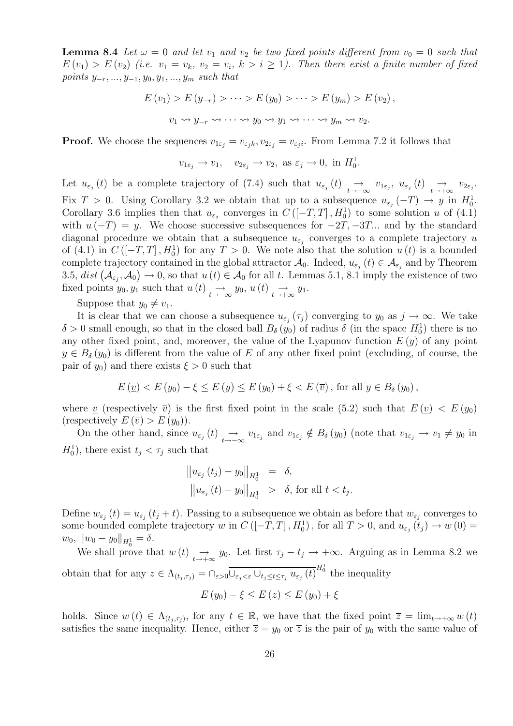**Lemma 8.4** Let  $\omega = 0$  and let  $v_1$  and  $v_2$  be two fixed points different from  $v_0 = 0$  such that  $E(v_1) > E(v_2)$  (i.e.  $v_1 = v_k$ ,  $v_2 = v_i$ ,  $k > i \geq 1$ ). Then there exist a finite number of fixed points  $y_{-r},...,y_{-1},y_0,y_1,...,y_m$  such that

$$
E(v_1) > E(y_{-r}) > \cdots > E(y_0) > \cdots > E(y_m) > E(v_2),
$$
  

$$
v_1 \rightsquigarrow y_{-r} \rightsquigarrow \cdots \rightsquigarrow y_0 \rightsquigarrow y_1 \rightsquigarrow \cdots \rightsquigarrow y_m \rightsquigarrow v_2.
$$

**Proof.** We choose the sequences  $v_{1\varepsilon_j} = v_{\varepsilon_j k}, v_{2\varepsilon_j} = v_{\varepsilon_j i}$ . From Lemma 7.2 it follows that

$$
v_{1\varepsilon_j} \to v_1
$$
,  $v_{2\varepsilon_j} \to v_2$ , as  $\varepsilon_j \to 0$ , in  $H_0^1$ .

Let  $u_{\varepsilon_j}(t)$  be a complete trajectory of (7.4) such that  $u_{\varepsilon_j}(t) \underset{t \to -\infty}{\to} v_{1\varepsilon_j}$ ,  $u_{\varepsilon_j}(t) \underset{t \to +\infty}{\to} v_{2\varepsilon_j}$ . Fix  $T > 0$ . Using Corollary 3.2 we obtain that up to a subsequence  $u_{\varepsilon_j}(-T) \to y$  in  $H_0^1$ . Corollary 3.6 implies then that  $u_{\varepsilon_j}$  converges in  $C([-T,T], H_0^1)$  to some solution u of (4.1) with  $u(-T) = y$ . We choose successive subsequences for  $-2T, -3T...$  and by the standard diagonal procedure we obtain that a subsequence  $u_{\varepsilon_j}$  converges to a complete trajectory u of (4.1) in  $C([-T,T], H_0^1)$  for any  $T > 0$ . We note also that the solution  $u(t)$  is a bounded complete trajectory contained in the global attractor  $\mathcal{A}_0$ . Indeed,  $u_{\varepsilon_j}(t) \in \mathcal{A}_{\varepsilon_j}$  and by Theorem 3.5,  $dist(\mathcal{A}_{\varepsilon_i}, \mathcal{A}_0) \to 0$ , so that  $u(t) \in \mathcal{A}_0$  for all t. Lemmas 5.1, 8.1 imply the existence of two fixed points  $y_0, y_1$  such that  $u(t) \rightarrow_{t \to -\infty} y_0, u(t) \rightarrow_{t \to +\infty} y_1$ .

Suppose that  $y_0 \neq v_1$ .

It is clear that we can choose a subsequence  $u_{\varepsilon_j}(\tau_j)$  converging to  $y_0$  as  $j \to \infty$ . We take  $\delta > 0$  small enough, so that in the closed ball  $B_{\delta}(y_0)$  of radius  $\delta$  (in the space  $H_0^1$ ) there is no any other fixed point, and, moreover, the value of the Lyapunov function  $E(y)$  of any point  $y \in B_\delta(y_0)$  is different from the value of E of any other fixed point (excluding, of course, the pair of  $y_0$ ) and there exists  $\xi > 0$  such that

$$
E(\underline{v}) < E(y_0) - \xi \le E(y) \le E(y_0) + \xi < E(\overline{v}), \text{ for all } y \in B_\delta(y_0),
$$

where <u>v</u> (respectively  $\overline{v}$ ) is the first fixed point in the scale (5.2) such that  $E(v) < E(y_0)$ (respectively  $E(\overline{v}) > E(y_0)$ ).

On the other hand, since  $u_{\varepsilon_j}(t) \to v_{1\varepsilon_j}$  and  $v_{1\varepsilon_j} \notin B_\delta(y_0)$  (note that  $v_{1\varepsilon_j} \to v_1 \neq y_0$  in  $H_0^1$ , there exist  $t_j < \tau_j$  such that

$$
\|u_{\varepsilon_j}(t_j) - y_0\|_{H_0^1} = \delta,
$$
  

$$
\|u_{\varepsilon_j}(t) - y_0\|_{H_0^1} > \delta, \text{ for all } t < t_j.
$$

Define  $w_{\varepsilon_j}(t) = u_{\varepsilon_j}(t_j + t)$ . Passing to a subsequence we obtain as before that  $w_{\varepsilon_j}$  converges to some bounded complete trajectory w in  $C([-T,T], H_0^1)$ , for all  $T > 0$ , and  $u_{\varepsilon_j}(t_j) \to w(0) =$  $w_0, \|w_0 - y_0\|_{H_0^1} = \delta.$ 

We shall prove that  $w(t) \rightarrow_{t \to +\infty} y_0$ . Let first  $\tau_j - t_j \to +\infty$ . Arguing as in Lemma 8.2 we obtain that for any  $z \in \Lambda_{(t_j,\tau_j)} = \bigcap_{\varepsilon > 0} \overline{\bigcup_{\varepsilon_j < \varepsilon} \bigcup_{t_j \le t \le \tau_j} u_{\varepsilon_j}(t)}^{H_0^1}$  the inequality

$$
E(y_0) - \xi \le E(z) \le E(y_0) + \xi
$$

holds. Since  $w(t) \in \Lambda_{(t_j,\tau_j)}$ , for any  $t \in \mathbb{R}$ , we have that the fixed point  $\overline{z} = \lim_{t \to +\infty} w(t)$ satisfies the same inequality. Hence, either  $\overline{z} = y_0$  or  $\overline{z}$  is the pair of  $y_0$  with the same value of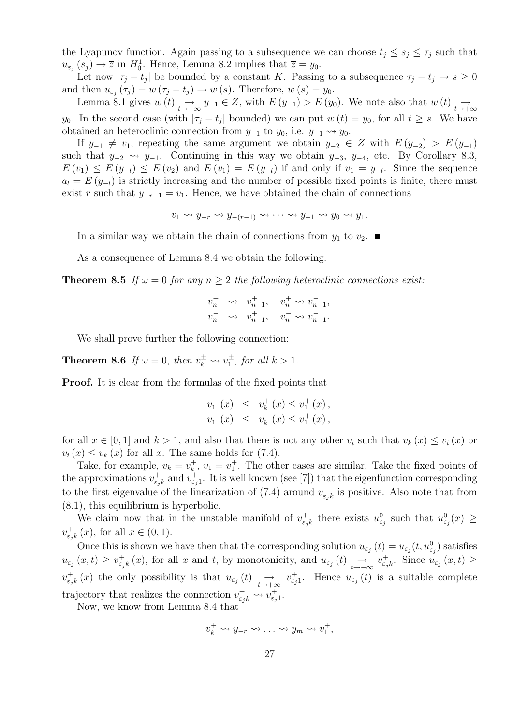the Lyapunov function. Again passing to a subsequence we can choose  $t_j \leq s_j \leq \tau_j$  such that  $u_{\varepsilon_j}(s_j) \to \overline{z}$  in  $H_0^1$ . Hence, Lemma 8.2 implies that  $\overline{z} = y_0$ .

Let now  $|\tau_j - t_j|$  be bounded by a constant K. Passing to a subsequence  $\tau_j - t_j \to s \geq 0$ and then  $u_{\varepsilon_j}(\tau_j) = w(\tau_j - t_j) \to w(s)$ . Therefore,  $w(s) = y_0$ .

Lemma 8.1 gives  $w(t) \rightarrow t \rightarrow -\infty$   $y_{-1} \in Z$ , with  $E(y_{-1}) > E(y_0)$ . We note also that  $w(t) \rightarrow t \rightarrow +\infty$ y<sub>0</sub>. In the second case (with  $|\tau_j - t_j|$  bounded) we can put  $w(t) = y_0$ , for all  $t \geq s$ . We have obtained an heteroclinic connection from  $y_{-1}$  to  $y_0$ , i.e.  $y_{-1} \rightarrow y_0$ .

If  $y_{-1} \neq v_1$ , repeating the same argument we obtain  $y_{-2} \in Z$  with  $E(y_{-2}) > E(y_{-1})$ such that  $y_{-2} \rightsquigarrow y_{-1}$ . Continuing in this way we obtain  $y_{-3}$ ,  $y_{-4}$ , etc. By Corollary 8.3,  $E(v_1) \leq E(y_{-l}) \leq E(v_2)$  and  $E(v_1) = E(y_{-l})$  if and only if  $v_1 = y_{-l}$ . Since the sequence  $a_l = E(y_{-l})$  is strictly increasing and the number of possible fixed points is finite, there must exist r such that  $y_{-r-1} = v_1$ . Hence, we have obtained the chain of connections

$$
v_1 \rightsquigarrow y_{-r} \rightsquigarrow y_{-(r-1)} \rightsquigarrow \cdots \rightsquigarrow y_{-1} \rightsquigarrow y_0 \rightsquigarrow y_1.
$$

In a similar way we obtain the chain of connections from  $y_1$  to  $v_2$ .

As a consequence of Lemma 8.4 we obtain the following:

**Theorem 8.5** If  $\omega = 0$  for any  $n \geq 2$  the following heteroclinic connections exist:

$$
\begin{array}{cccc} v_n^+ & \leadsto & v_{n-1}^+,& v_n^+ \leadsto v_{n-1}^-,&\\ v_n^- & \leadsto & v_{n-1}^+,& v_n^- \leadsto v_{n-1}^-.& \end{array}
$$

We shall prove further the following connection:

**Theorem 8.6** If  $\omega = 0$ , then  $v_k^{\pm} \leadsto v_1^{\pm}$ , for all  $k > 1$ .

Proof. It is clear from the formulas of the fixed points that

$$
v_1^-(x) \leq v_k^+(x) \leq v_1^+(x),
$$
  

$$
v_1^-(x) \leq v_k^-(x) \leq v_1^+(x),
$$

for all  $x \in [0,1]$  and  $k > 1$ , and also that there is not any other  $v_i$  such that  $v_k(x) \le v_i(x)$  or  $v_i(x) \leq v_k(x)$  for all x. The same holds for (7.4).

Take, for example,  $v_k = v_k^+$  $k<sub>k</sub>$ ,  $v<sub>1</sub> = v<sub>1</sub><sup>+</sup>$ . The other cases are similar. Take the fixed points of the approximations  $v_{\varepsilon}^+$  $\epsilon_{j,k}^+$  and  $v_{\epsilon_j}^+$ . It is well known (see [7]) that the eigenfunction corresponding to the first eigenvalue of the linearization of (7.4) around  $v_{\varepsilon}^+$  $\sigma_{\varepsilon,k}^+$  is positive. Also note that from (8.1), this equilibrium is hyperbolic.

We claim now that in the unstable manifold of  $v_{\varepsilon}^+$  $u_{\varepsilon_j}^+$  there exists  $u_{\varepsilon_j}^0$  such that  $u_{\varepsilon_j}^0(x) \geq$  $v_{\varepsilon}^+$  $_{\varepsilon_{jk}}^{+}(x)$ , for all  $x \in (0,1)$ .

Once this is shown we have then that the corresponding solution  $u_{\varepsilon_j}(t) = u_{\varepsilon_j}(t, u_{\varepsilon_j}^0)$  satisfies  $u_{\varepsilon_j}(x,t) \geq v_{\varepsilon_j}^+$  $\epsilon_{j,k}(x)$ , for all x and t, by monotonicity, and  $u_{\epsilon_j}(t) \rightarrow \epsilon_{j-k}$  $u_{\varepsilon_j}^+$ . Since  $u_{\varepsilon_j}(x,t) \geq$  $v_{\varepsilon}^+$  $e_{\varepsilon_{j,k}}^{+}(x)$  the only possibility is that  $u_{\varepsilon_{j}}(t) \longrightarrow v_{\varepsilon_{j}1}^{+}$ . Hence  $u_{\varepsilon_{j}}(t)$  is a suitable complete trajectory that realizes the connection  $v_{\varepsilon_{j}k}^{+} \leadsto v_{\varepsilon_{j}1}^{+}$ .

Now, we know from Lemma 8.4 that

$$
v_k^+ \leadsto y_{-r} \leadsto \ldots \leadsto y_m \leadsto v_1^+,
$$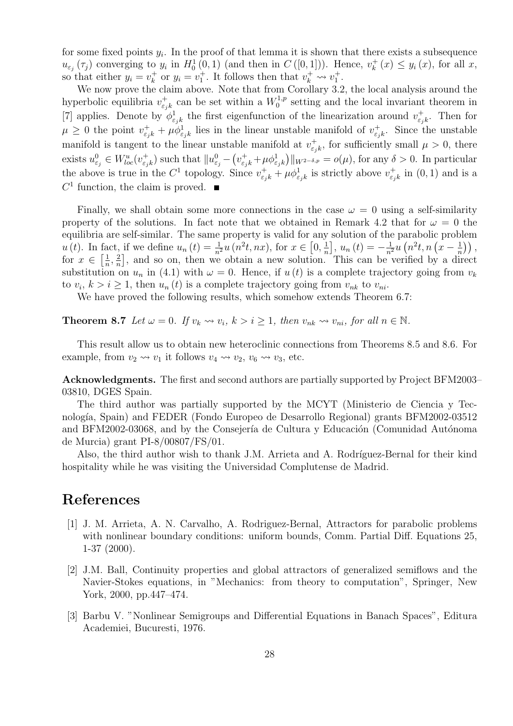for some fixed points  $y_i$ . In the proof of that lemma it is shown that there exists a subsequence  $u_{\varepsilon_j}(\tau_j)$  converging to  $y_i$  in  $H_0^1(0,1)$  (and then in  $C([0,1])$ ). Hence,  $v_k^+$  $y_k^+(x) \leq y_i(x)$ , for all x, so that either  $y_i = v_k^+$ <sup>+</sup> or  $y_i = v_1^+$ . It follows then that  $v_k^+ \leadsto v_1^+$ .

We now prove the claim above. Note that from Corollary 3.2, the local analysis around the hyperbolic equilibria  $v_{\varepsilon}^+$  $\sigma_{\varepsilon_{j}k}^{+}$  can be set within a  $W_{0}^{1,p}$  $_{0}^{1,p}$  setting and the local invariant theorem in [7] applies. Denote by  $\phi_{\varepsilon_j k}^1$  the first eigenfunction of the linearization around  $v_{\varepsilon_j}^+$  $v_{\varepsilon_{j}k}^{+}$ . Then for  $\mu \geq 0$  the point  $v_{\varepsilon_j k}^+ + \mu \phi_{\varepsilon_j k}^1$  lies in the linear unstable manifold of  $v_{\varepsilon_j}^+$  $\epsilon_{jk}^{\dagger}$ . Since the unstable manifold is tangent to the linear unstable manifold at  $v_{\varepsilon}^+$  $\psi_{\varepsilon_j k}^+$ , for sufficiently small  $\mu > 0$ , there exists  $u_{\varepsilon_j}^0 \in W_{loc}^u(v_{\varepsilon_j}^+)$  $(\epsilon_{j,k})$  such that  $||u_{\epsilon_j}^0 - (v_{\epsilon_j k}^+ + \mu \phi_{\epsilon_j k}^1)||_{W^{2-\delta,p}} = o(\mu)$ , for any  $\delta > 0$ . In particular the above is true in the  $C^1$  topology. Since  $v_{\varepsilon_j k}^+ + \mu \phi_{\varepsilon_j k}^1$  is strictly above  $v_{\varepsilon_j}^+$  $\chi_{\varepsilon_j k}^+$  in  $(0,1)$  and is a  $C<sup>1</sup>$  function, the claim is proved.

Finally, we shall obtain some more connections in the case  $\omega = 0$  using a self-similarity property of the solutions. In fact note that we obtained in Remark 4.2 that for  $\omega = 0$  the equilibria are self-similar. The same property is valid for any solution of the parabolic problem  $u(t)$ . In fact, if we define  $u_n(t) = \frac{1}{n^2} u(n^2 t, nx)$ , for  $x \in [0, \frac{1}{n}]$  $\frac{1}{n}$ ,  $u_n(t) = -\frac{1}{n^2}u(n^2t, n(x - \frac{1}{n})$  $\frac{1}{n})$ ), for  $x \in \left[\frac{1}{n}\right]$  $\frac{1}{n}, \frac{2}{n}$  $\frac{2}{n}$ , and so on, then we obtain a new solution. This can be verified by a direct substitution on  $u_n$  in (4.1) with  $\omega = 0$ . Hence, if  $u(t)$  is a complete trajectory going from  $v_k$ to  $v_i, k > i \geq 1$ , then  $u_n(t)$  is a complete trajectory going from  $v_{nk}$  to  $v_{ni}$ .

We have proved the following results, which somehow extends Theorem 6.7:

**Theorem 8.7** Let  $\omega = 0$ . If  $v_k \rightsquigarrow v_i$ ,  $k > i > 1$ , then  $v_{nk} \rightsquigarrow v_{ni}$ , for all  $n \in \mathbb{N}$ .

This result allow us to obtain new heteroclinic connections from Theorems 8.5 and 8.6. For example, from  $v_2 \rightsquigarrow v_1$  it follows  $v_4 \rightsquigarrow v_2$ ,  $v_6 \rightsquigarrow v_3$ , etc.

Acknowledgments. The first and second authors are partially supported by Project BFM2003– 03810, DGES Spain.

The third author was partially supported by the MCYT (Ministerio de Ciencia y Tecnolog´ıa, Spain) and FEDER (Fondo Europeo de Desarrollo Regional) grants BFM2002-03512 and BFM2002-03068, and by the Consejería de Cultura y Educación (Comunidad Autónoma de Murcia) grant PI-8/00807/FS/01.

Also, the third author wish to thank J.M. Arrieta and A. Rodríguez-Bernal for their kind hospitality while he was visiting the Universidad Complutense de Madrid.

## References

- [1] J. M. Arrieta, A. N. Carvalho, A. Rodriguez-Bernal, Attractors for parabolic problems with nonlinear boundary conditions: uniform bounds, Comm. Partial Diff. Equations 25, 1-37 (2000).
- [2] J.M. Ball, Continuity properties and global attractors of generalized semiflows and the Navier-Stokes equations, in "Mechanics: from theory to computation", Springer, New York, 2000, pp.447–474.
- [3] Barbu V. "Nonlinear Semigroups and Differential Equations in Banach Spaces", Editura Academiei, Bucuresti, 1976.